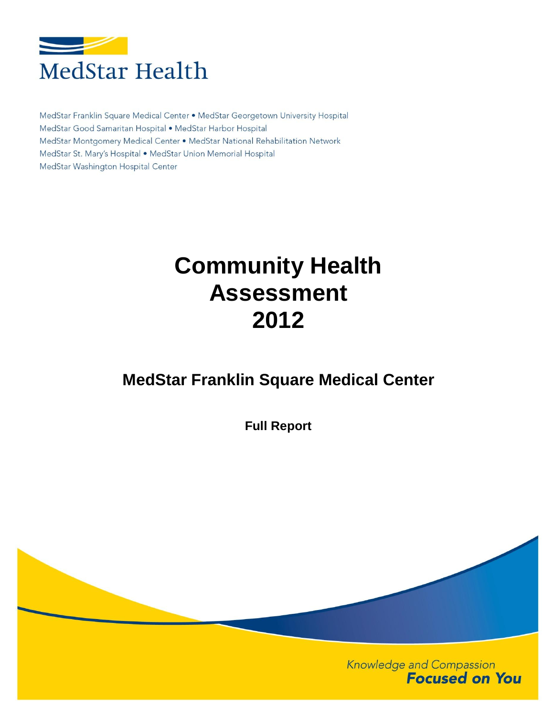

MedStar Franklin Square Medical Center . MedStar Georgetown University Hospital MedStar Good Samaritan Hospital . MedStar Harbor Hospital MedStar Montgomery Medical Center • MedStar National Rehabilitation Network MedStar St. Mary's Hospital . MedStar Union Memorial Hospital MedStar Washington Hospital Center

# **Community Health Assessment 2012**

## **MedStar Franklin Square Medical Center**

**Full Report**

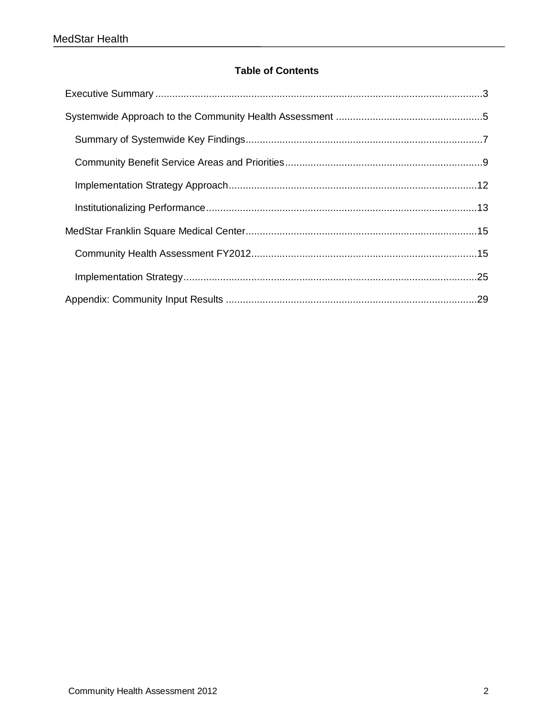#### **Table of Contents**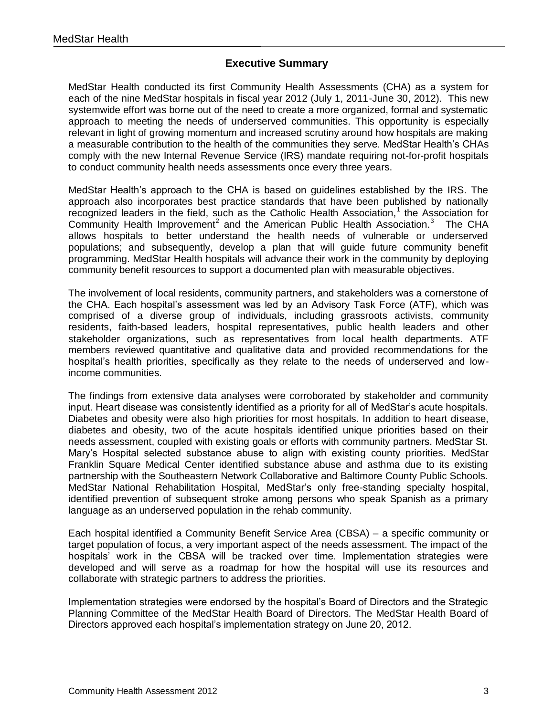#### **Executive Summary**

<span id="page-2-0"></span>MedStar Health conducted its first Community Health Assessments (CHA) as a system for each of the nine MedStar hospitals in fiscal year 2012 (July 1, 2011-June 30, 2012). This new systemwide effort was borne out of the need to create a more organized, formal and systematic approach to meeting the needs of underserved communities. This opportunity is especially relevant in light of growing momentum and increased scrutiny around how hospitals are making a measurable contribution to the health of the communities they serve. MedStar Health's CHAs comply with the new Internal Revenue Service (IRS) mandate requiring not-for-profit hospitals to conduct community health needs assessments once every three years.

MedStar Health's approach to the CHA is based on guidelines established by the IRS. The approach also incorporates best practice standards that have been published by nationally recognized leaders in the field, such as the Catholic Health Association,<sup>1</sup> the Association for Community Health Improvement<sup>2</sup> and the American Public Health Association.<sup>3</sup> The CHA allows hospitals to better understand the health needs of vulnerable or underserved populations; and subsequently, develop a plan that will guide future community benefit programming. MedStar Health hospitals will advance their work in the community by deploying community benefit resources to support a documented plan with measurable objectives.

The involvement of local residents, community partners, and stakeholders was a cornerstone of the CHA. Each hospital's assessment was led by an Advisory Task Force (ATF), which was comprised of a diverse group of individuals, including grassroots activists, community residents, faith-based leaders, hospital representatives, public health leaders and other stakeholder organizations, such as representatives from local health departments. ATF members reviewed quantitative and qualitative data and provided recommendations for the hospital's health priorities, specifically as they relate to the needs of underserved and lowincome communities.

The findings from extensive data analyses were corroborated by stakeholder and community input. Heart disease was consistently identified as a priority for all of MedStar's acute hospitals. Diabetes and obesity were also high priorities for most hospitals. In addition to heart disease, diabetes and obesity, two of the acute hospitals identified unique priorities based on their needs assessment, coupled with existing goals or efforts with community partners. MedStar St. Mary's Hospital selected substance abuse to align with existing county priorities. MedStar Franklin Square Medical Center identified substance abuse and asthma due to its existing partnership with the Southeastern Network Collaborative and Baltimore County Public Schools. MedStar National Rehabilitation Hospital, MedStar's only free-standing specialty hospital, identified prevention of subsequent stroke among persons who speak Spanish as a primary language as an underserved population in the rehab community.

Each hospital identified a Community Benefit Service Area (CBSA) – a specific community or target population of focus, a very important aspect of the needs assessment. The impact of the hospitals' work in the CBSA will be tracked over time. Implementation strategies were developed and will serve as a roadmap for how the hospital will use its resources and collaborate with strategic partners to address the priorities.

Implementation strategies were endorsed by the hospital's Board of Directors and the Strategic Planning Committee of the MedStar Health Board of Directors. The MedStar Health Board of Directors approved each hospital's implementation strategy on June 20, 2012.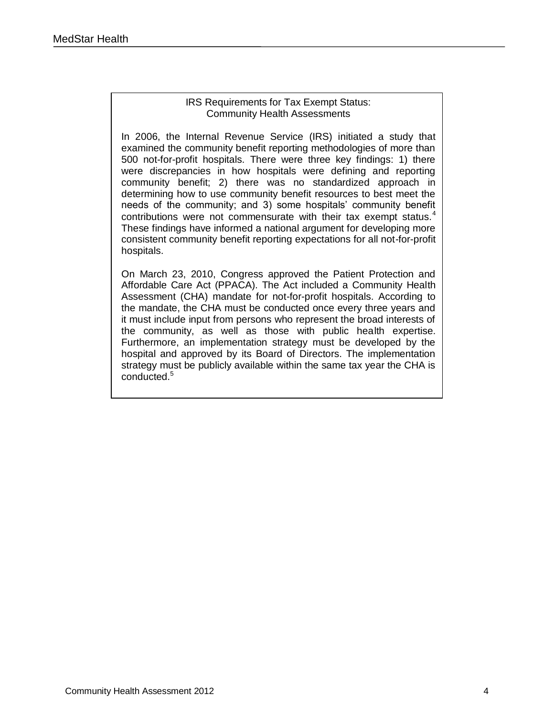#### IRS Requirements for Tax Exempt Status: Community Health Assessments

In 2006, the Internal Revenue Service (IRS) initiated a study that examined the community benefit reporting methodologies of more than 500 not-for-profit hospitals. There were three key findings: 1) there were discrepancies in how hospitals were defining and reporting community benefit; 2) there was no standardized approach in determining how to use community benefit resources to best meet the needs of the community; and 3) some hospitals' community benefit contributions were not commensurate with their tax exempt status.<sup>4</sup> These findings have informed a national argument for developing more consistent community benefit reporting expectations for all not-for-profit hospitals.

On March 23, 2010, Congress approved the Patient Protection and Affordable Care Act (PPACA). The Act included a Community Health Assessment (CHA) mandate for not-for-profit hospitals. According to the mandate, the CHA must be conducted once every three years and it must include input from persons who represent the broad interests of the community, as well as those with public health expertise. Furthermore, an implementation strategy must be developed by the hospital and approved by its Board of Directors. The implementation strategy must be publicly available within the same tax year the CHA is conducted.<sup>5</sup>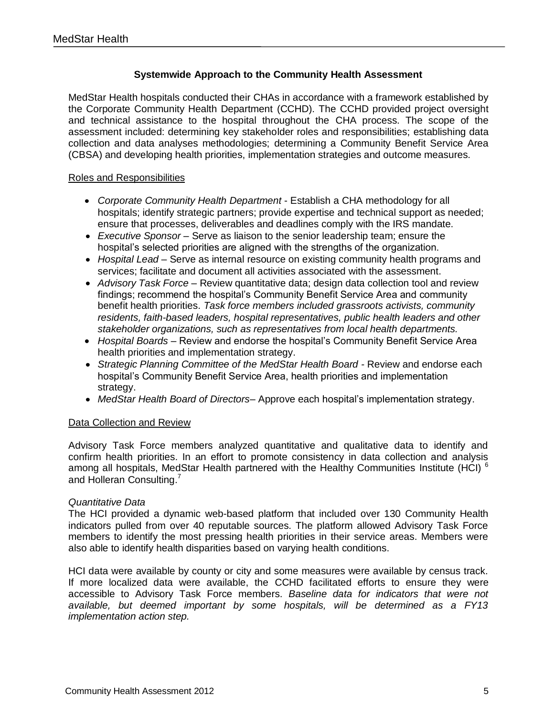#### **Systemwide Approach to the Community Health Assessment**

<span id="page-4-0"></span>MedStar Health hospitals conducted their CHAs in accordance with a framework established by the Corporate Community Health Department (CCHD). The CCHD provided project oversight and technical assistance to the hospital throughout the CHA process. The scope of the assessment included: determining key stakeholder roles and responsibilities; establishing data collection and data analyses methodologies; determining a Community Benefit Service Area (CBSA) and developing health priorities, implementation strategies and outcome measures.

#### Roles and Responsibilities

- *Corporate Community Health Department* Establish a CHA methodology for all hospitals; identify strategic partners; provide expertise and technical support as needed; ensure that processes, deliverables and deadlines comply with the IRS mandate.
- *Executive Sponsor –* Serve as liaison to the senior leadership team; ensure the hospital's selected priorities are aligned with the strengths of the organization.
- *Hospital Lead –* Serve as internal resource on existing community health programs and services; facilitate and document all activities associated with the assessment.
- *Advisory Task Force –* Review quantitative data; design data collection tool and review findings; recommend the hospital's Community Benefit Service Area and community benefit health priorities. *Task force members included grassroots activists, community residents, faith-based leaders, hospital representatives, public health leaders and other stakeholder organizations, such as representatives from local health departments.*
- *Hospital Boards –* Review and endorse the hospital's Community Benefit Service Area health priorities and implementation strategy.
- *Strategic Planning Committee of the MedStar Health Board -* Review and endorse each hospital's Community Benefit Service Area, health priorities and implementation strategy.
- *MedStar Health Board of Directors–* Approve each hospital's implementation strategy.

#### Data Collection and Review

Advisory Task Force members analyzed quantitative and qualitative data to identify and confirm health priorities. In an effort to promote consistency in data collection and analysis among all hospitals, MedStar Health partnered with the Healthy Communities Institute (HCI)<sup>6</sup> and Holleran Consulting.<sup>7</sup>

#### *Quantitative Data*

The HCI provided a dynamic web-based platform that included over 130 Community Health indicators pulled from over 40 reputable sources. The platform allowed Advisory Task Force members to identify the most pressing health priorities in their service areas. Members were also able to identify health disparities based on varying health conditions.

HCI data were available by county or city and some measures were available by census track. If more localized data were available, the CCHD facilitated efforts to ensure they were accessible to Advisory Task Force members. *Baseline data for indicators that were not available, but deemed important by some hospitals, will be determined as a FY13 implementation action step.*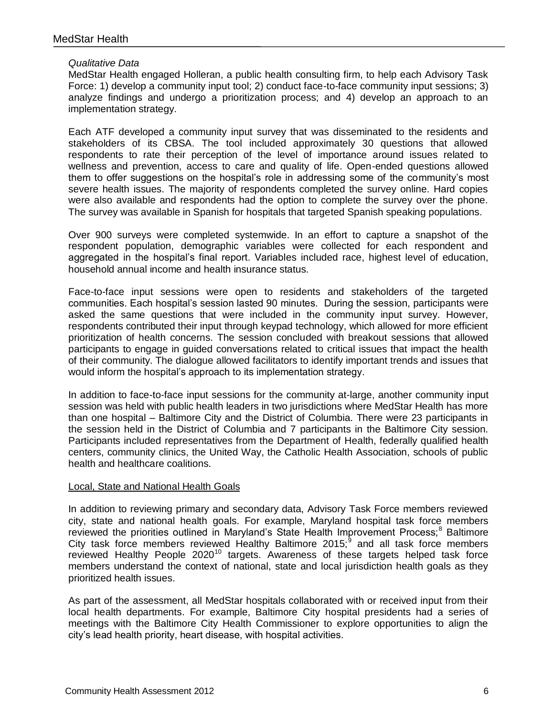#### *Qualitative Data*

MedStar Health engaged Holleran, a public health consulting firm, to help each Advisory Task Force: 1) develop a community input tool; 2) conduct face-to-face community input sessions; 3) analyze findings and undergo a prioritization process; and 4) develop an approach to an implementation strategy.

Each ATF developed a community input survey that was disseminated to the residents and stakeholders of its CBSA. The tool included approximately 30 questions that allowed respondents to rate their perception of the level of importance around issues related to wellness and prevention, access to care and quality of life. Open-ended questions allowed them to offer suggestions on the hospital's role in addressing some of the community's most severe health issues. The majority of respondents completed the survey online. Hard copies were also available and respondents had the option to complete the survey over the phone. The survey was available in Spanish for hospitals that targeted Spanish speaking populations.

Over 900 surveys were completed systemwide. In an effort to capture a snapshot of the respondent population, demographic variables were collected for each respondent and aggregated in the hospital's final report. Variables included race, highest level of education, household annual income and health insurance status.

Face-to-face input sessions were open to residents and stakeholders of the targeted communities. Each hospital's session lasted 90 minutes. During the session, participants were asked the same questions that were included in the community input survey. However, respondents contributed their input through keypad technology, which allowed for more efficient prioritization of health concerns. The session concluded with breakout sessions that allowed participants to engage in guided conversations related to critical issues that impact the health of their community. The dialogue allowed facilitators to identify important trends and issues that would inform the hospital's approach to its implementation strategy.

In addition to face-to-face input sessions for the community at-large, another community input session was held with public health leaders in two jurisdictions where MedStar Health has more than one hospital – Baltimore City and the District of Columbia. There were 23 participants in the session held in the District of Columbia and 7 participants in the Baltimore City session. Participants included representatives from the Department of Health, federally qualified health centers, community clinics, the United Way, the Catholic Health Association, schools of public health and healthcare coalitions.

#### Local, State and National Health Goals

In addition to reviewing primary and secondary data, Advisory Task Force members reviewed city, state and national health goals. For example, Maryland hospital task force members reviewed the priorities outlined in Maryland's State Health Improvement Process;<sup>8</sup> Baltimore City task force members reviewed Healthy Baltimore  $2015$ , and all task force members reviewed Healthy People 2020<sup>10</sup> targets. Awareness of these targets helped task force members understand the context of national, state and local jurisdiction health goals as they prioritized health issues.

As part of the assessment, all MedStar hospitals collaborated with or received input from their local health departments. For example, Baltimore City hospital presidents had a series of meetings with the Baltimore City Health Commissioner to explore opportunities to align the city's lead health priority, heart disease, with hospital activities.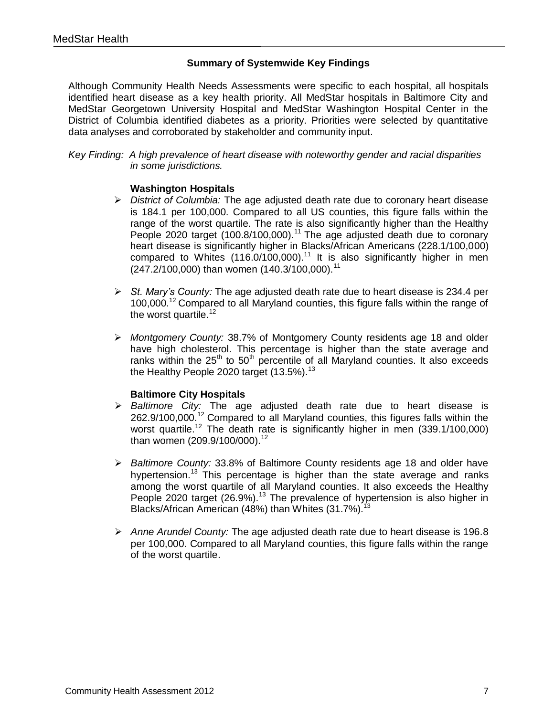#### **Summary of Systemwide Key Findings**

<span id="page-6-0"></span>Although Community Health Needs Assessments were specific to each hospital, all hospitals identified heart disease as a key health priority. All MedStar hospitals in Baltimore City and MedStar Georgetown University Hospital and MedStar Washington Hospital Center in the District of Columbia identified diabetes as a priority. Priorities were selected by quantitative data analyses and corroborated by stakeholder and community input.

*Key Finding: A high prevalence of heart disease with noteworthy gender and racial disparities in some jurisdictions.*

#### **Washington Hospitals**

- *District of Columbia:* The age adjusted death rate due to coronary heart disease is 184.1 per 100,000. Compared to all US counties, this figure falls within the range of the worst quartile. The rate is also significantly higher than the Healthy People 2020 target (100.8/100,000).<sup>11</sup> The age adjusted death due to coronary heart disease is significantly higher in Blacks/African Americans (228.1/100,000) compared to Whites  $(116.0/100,000).$ <sup>11</sup> It is also significantly higher in men (247.2/100,000) than women (140.3/100,000).<sup>11</sup>
- *St. Mary's County:* The age adjusted death rate due to heart disease is 234.4 per 100,000.<sup>12</sup> Compared to all Maryland counties, this figure falls within the range of the worst quartile.<sup>12</sup>
- *Montgomery County:* 38.7% of Montgomery County residents age 18 and older have high cholesterol. This percentage is higher than the state average and ranks within the  $25<sup>th</sup>$  to  $50<sup>th</sup>$  percentile of all Maryland counties. It also exceeds the Healthy People 2020 target  $(13.5\%)$ .<sup>13</sup>

#### **Baltimore City Hospitals**

- *Baltimore City:* The age adjusted death rate due to heart disease is 262.9/100,000.<sup>12</sup> Compared to all Maryland counties, this figures falls within the worst quartile.<sup>12</sup> The death rate is significantly higher in men  $(339.1/100.000)$ than women  $(209.9/100/000).$ <sup>12</sup>
- *Baltimore County:* 33.8% of Baltimore County residents age 18 and older have hypertension.<sup>13</sup> This percentage is higher than the state average and ranks among the worst quartile of all Maryland counties. It also exceeds the Healthy People 2020 target (26.9%).<sup>13</sup> The prevalence of hypertension is also higher in Blacks/African American (48%) than Whites (31.7%).<sup>13</sup>
- *Anne Arundel County:* The age adjusted death rate due to heart disease is 196.8 per 100,000. Compared to all Maryland counties, this figure falls within the range of the worst quartile.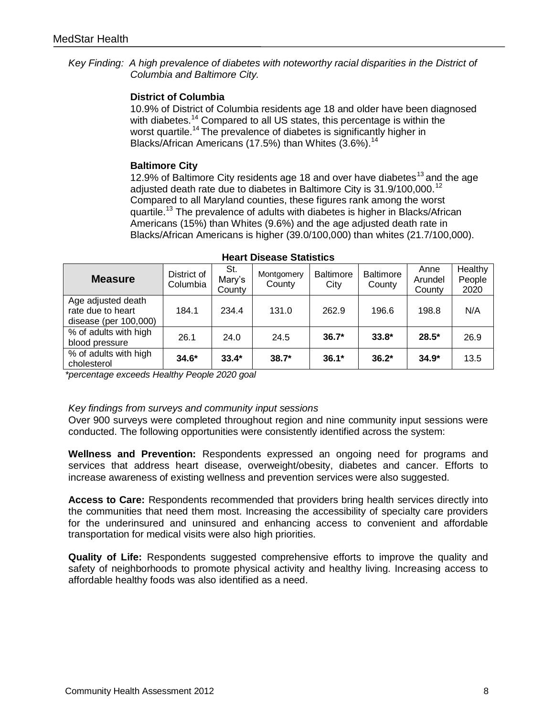*Key Finding: A high prevalence of diabetes with noteworthy racial disparities in the District of Columbia and Baltimore City.*

#### **District of Columbia**

10.9% of District of Columbia residents age 18 and older have been diagnosed with diabetes.<sup>14</sup> Compared to all US states, this percentage is within the worst quartile.<sup>14</sup> The prevalence of diabetes is significantly higher in Blacks/African Americans (17.5%) than Whites  $(3.6\%)$ .<sup>14</sup>

#### **Baltimore City**

12.9% of Baltimore City residents age 18 and over have diabetes<sup>13</sup> and the age adjusted death rate due to diabetes in Baltimore City is 31.9/100,000.<sup>12</sup> Compared to all Maryland counties, these figures rank among the worst quartile.<sup>13</sup> The prevalence of adults with diabetes is higher in Blacks/African Americans (15%) than Whites (9.6%) and the age adjusted death rate in Blacks/African Americans is higher (39.0/100,000) than whites (21.7/100,000).

| <b>Measure</b>                                                   | District of<br>Columbia | St.<br>Mary's<br>County | Montgomery<br>County | <b>Baltimore</b><br>City | <b>Baltimore</b><br>County | Anne<br>Arundel<br>County | Healthy<br>People<br>2020 |
|------------------------------------------------------------------|-------------------------|-------------------------|----------------------|--------------------------|----------------------------|---------------------------|---------------------------|
| Age adjusted death<br>rate due to heart<br>disease (per 100,000) | 184.1                   | 234.4                   | 131.0                | 262.9                    | 196.6                      | 198.8                     | N/A                       |
| % of adults with high<br>blood pressure                          | 26.1                    | 24.0                    | 24.5                 | $36.7*$                  | $33.8*$                    | $28.5*$                   | 26.9                      |
| % of adults with high<br>cholesterol                             | $34.6*$                 | $33.4*$                 | $38.7*$              | $36.1*$                  | $36.2*$                    | $34.9*$                   | 13.5                      |

*\*percentage exceeds Healthy People 2020 goal*

#### *Key findings from surveys and community input sessions*

Over 900 surveys were completed throughout region and nine community input sessions were conducted. The following opportunities were consistently identified across the system:

**Wellness and Prevention:** Respondents expressed an ongoing need for programs and services that address heart disease, overweight/obesity, diabetes and cancer. Efforts to increase awareness of existing wellness and prevention services were also suggested.

**Access to Care:** Respondents recommended that providers bring health services directly into the communities that need them most. Increasing the accessibility of specialty care providers for the underinsured and uninsured and enhancing access to convenient and affordable transportation for medical visits were also high priorities.

**Quality of Life:** Respondents suggested comprehensive efforts to improve the quality and safety of neighborhoods to promote physical activity and healthy living. Increasing access to affordable healthy foods was also identified as a need.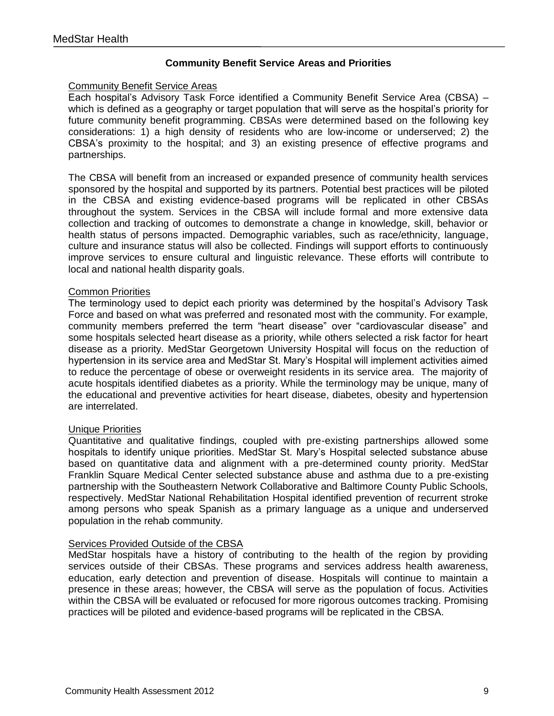#### **Community Benefit Service Areas and Priorities**

#### <span id="page-8-0"></span>Community Benefit Service Areas

Each hospital's Advisory Task Force identified a Community Benefit Service Area (CBSA) – which is defined as a geography or target population that will serve as the hospital's priority for future community benefit programming. CBSAs were determined based on the following key considerations: 1) a high density of residents who are low-income or underserved; 2) the CBSA's proximity to the hospital; and 3) an existing presence of effective programs and partnerships.

The CBSA will benefit from an increased or expanded presence of community health services sponsored by the hospital and supported by its partners. Potential best practices will be piloted in the CBSA and existing evidence-based programs will be replicated in other CBSAs throughout the system. Services in the CBSA will include formal and more extensive data collection and tracking of outcomes to demonstrate a change in knowledge, skill, behavior or health status of persons impacted. Demographic variables, such as race/ethnicity, language, culture and insurance status will also be collected. Findings will support efforts to continuously improve services to ensure cultural and linguistic relevance. These efforts will contribute to local and national health disparity goals.

#### Common Priorities

The terminology used to depict each priority was determined by the hospital's Advisory Task Force and based on what was preferred and resonated most with the community. For example, community members preferred the term "heart disease" over "cardiovascular disease" and some hospitals selected heart disease as a priority, while others selected a risk factor for heart disease as a priority. MedStar Georgetown University Hospital will focus on the reduction of hypertension in its service area and MedStar St. Mary's Hospital will implement activities aimed to reduce the percentage of obese or overweight residents in its service area. The majority of acute hospitals identified diabetes as a priority. While the terminology may be unique, many of the educational and preventive activities for heart disease, diabetes, obesity and hypertension are interrelated.

#### Unique Priorities

Quantitative and qualitative findings, coupled with pre-existing partnerships allowed some hospitals to identify unique priorities. MedStar St. Mary's Hospital selected substance abuse based on quantitative data and alignment with a pre-determined county priority. MedStar Franklin Square Medical Center selected substance abuse and asthma due to a pre-existing partnership with the Southeastern Network Collaborative and Baltimore County Public Schools, respectively. MedStar National Rehabilitation Hospital identified prevention of recurrent stroke among persons who speak Spanish as a primary language as a unique and underserved population in the rehab community.

#### Services Provided Outside of the CBSA

MedStar hospitals have a history of contributing to the health of the region by providing services outside of their CBSAs. These programs and services address health awareness, education, early detection and prevention of disease. Hospitals will continue to maintain a presence in these areas; however, the CBSA will serve as the population of focus. Activities within the CBSA will be evaluated or refocused for more rigorous outcomes tracking. Promising practices will be piloted and evidence-based programs will be replicated in the CBSA.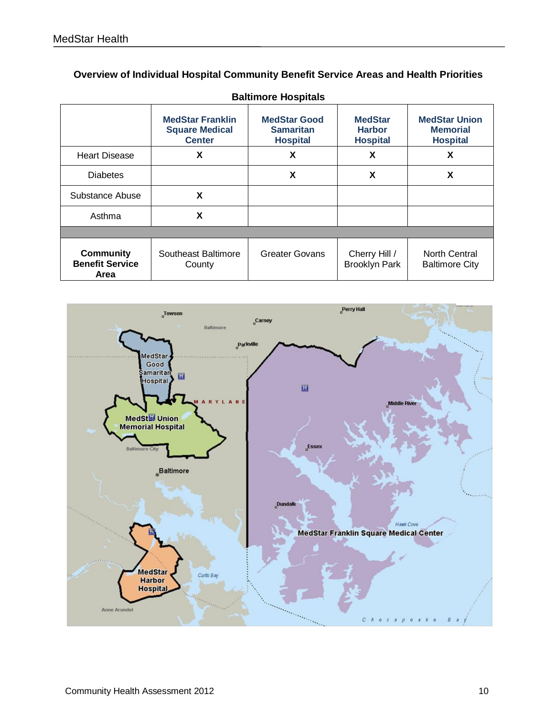| <b>Overview of Individual Hospital Community Benefit Service Areas and Health Priorities</b> |  |
|----------------------------------------------------------------------------------------------|--|
|----------------------------------------------------------------------------------------------|--|

| <b>Baltimore Hospitals</b>                         |                                                                   |                                                            |                                                    |                                                            |  |  |
|----------------------------------------------------|-------------------------------------------------------------------|------------------------------------------------------------|----------------------------------------------------|------------------------------------------------------------|--|--|
|                                                    | <b>MedStar Franklin</b><br><b>Square Medical</b><br><b>Center</b> | <b>MedStar Good</b><br><b>Samaritan</b><br><b>Hospital</b> | <b>MedStar</b><br><b>Harbor</b><br><b>Hospital</b> | <b>MedStar Union</b><br><b>Memorial</b><br><b>Hospital</b> |  |  |
| <b>Heart Disease</b>                               | X                                                                 | X                                                          | X                                                  | X                                                          |  |  |
| <b>Diabetes</b>                                    |                                                                   | X                                                          | X                                                  | X                                                          |  |  |
| Substance Abuse                                    | X                                                                 |                                                            |                                                    |                                                            |  |  |
| Asthma                                             | X                                                                 |                                                            |                                                    |                                                            |  |  |
|                                                    |                                                                   |                                                            |                                                    |                                                            |  |  |
| <b>Community</b><br><b>Benefit Service</b><br>Area | Southeast Baltimore<br>County                                     | <b>Greater Govans</b>                                      | Cherry Hill /<br><b>Brooklyn Park</b>              | North Central<br><b>Baltimore City</b>                     |  |  |

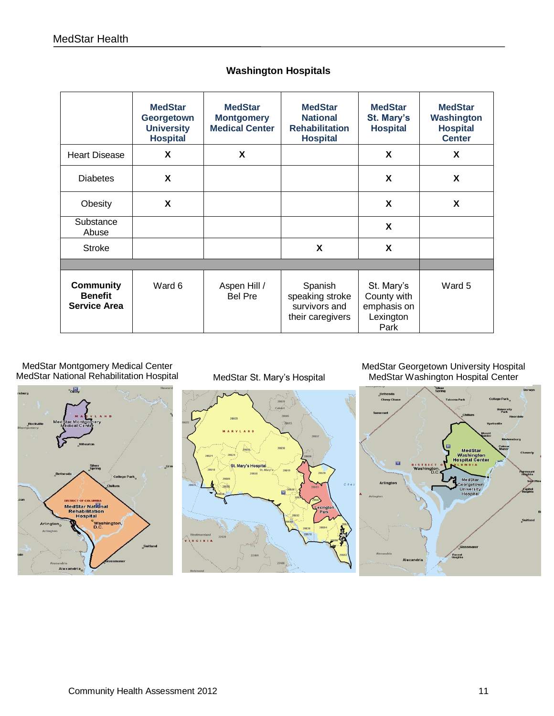|                                                           | <b>MedStar</b><br>Georgetown<br><b>University</b><br><b>Hospital</b> | <b>MedStar</b><br><b>Montgomery</b><br><b>Medical Center</b> | <b>MedStar</b><br><b>National</b><br><b>Rehabilitation</b><br><b>Hospital</b> | <b>MedStar</b><br>St. Mary's<br><b>Hospital</b>               | <b>MedStar</b><br>Washington<br><b>Hospital</b><br><b>Center</b> |
|-----------------------------------------------------------|----------------------------------------------------------------------|--------------------------------------------------------------|-------------------------------------------------------------------------------|---------------------------------------------------------------|------------------------------------------------------------------|
| <b>Heart Disease</b>                                      | X                                                                    | X                                                            |                                                                               | X                                                             | X                                                                |
| <b>Diabetes</b>                                           | X                                                                    |                                                              |                                                                               | X                                                             | X                                                                |
| Obesity                                                   | X                                                                    |                                                              |                                                                               | X                                                             | X                                                                |
| Substance<br>Abuse                                        |                                                                      |                                                              |                                                                               | X                                                             |                                                                  |
| <b>Stroke</b>                                             |                                                                      |                                                              | X                                                                             | X                                                             |                                                                  |
|                                                           |                                                                      |                                                              |                                                                               |                                                               |                                                                  |
| <b>Community</b><br><b>Benefit</b><br><b>Service Area</b> | Ward 6                                                               | Aspen Hill /<br><b>Bel Pre</b>                               | Spanish<br>speaking stroke<br>survivors and<br>their caregivers               | St. Mary's<br>County with<br>emphasis on<br>Lexington<br>Park | Ward 5                                                           |

#### **Washington Hospitals**

MedStar Montgomery Medical Center MedStar National Rehabilitation Hospital



MedStar St. Mary's Hospital

MedStar Georgetown University Hospital MedStar Washington Hospital Center

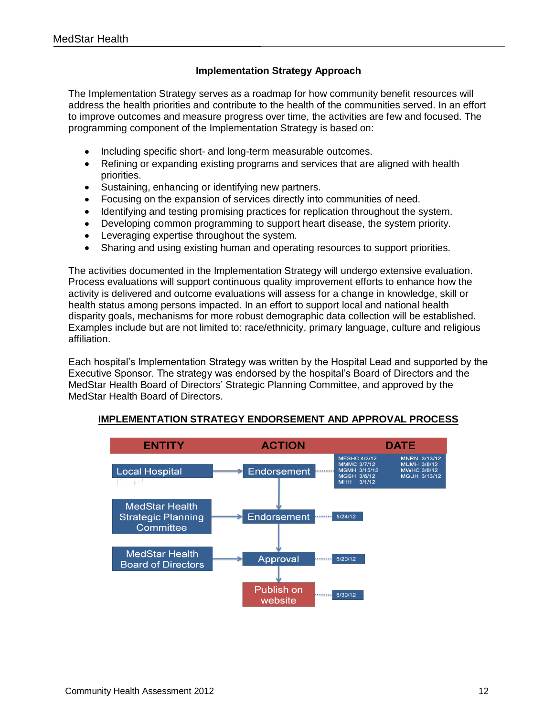#### **Implementation Strategy Approach**

<span id="page-11-0"></span>The Implementation Strategy serves as a roadmap for how community benefit resources will address the health priorities and contribute to the health of the communities served. In an effort to improve outcomes and measure progress over time, the activities are few and focused. The programming component of the Implementation Strategy is based on:

- Including specific short- and long-term measurable outcomes.  $\bullet$
- Refining or expanding existing programs and services that are aligned with health  $\bullet$ priorities.
- Sustaining, enhancing or identifying new partners.  $\bullet$
- $\bullet$ Focusing on the expansion of services directly into communities of need.
- Identifying and testing promising practices for replication throughout the system.  $\bullet$
- Developing common programming to support heart disease, the system priority.  $\bullet$
- Leveraging expertise throughout the system.  $\bullet$
- Sharing and using existing human and operating resources to support priorities.  $\bullet$

The activities documented in the Implementation Strategy will undergo extensive evaluation. Process evaluations will support continuous quality improvement efforts to enhance how the activity is delivered and outcome evaluations will assess for a change in knowledge, skill or health status among persons impacted. In an effort to support local and national health disparity goals, mechanisms for more robust demographic data collection will be established. Examples include but are not limited to: race/ethnicity, primary language, culture and religious affiliation.

Each hospital's Implementation Strategy was written by the Hospital Lead and supported by the Executive Sponsor. The strategy was endorsed by the hospital's Board of Directors and the MedStar Health Board of Directors' Strategic Planning Committee, and approved by the MedStar Health Board of Directors.



#### **IMPLEMENTATION STRATEGY ENDORSEMENT AND APPROVAL PROCESS**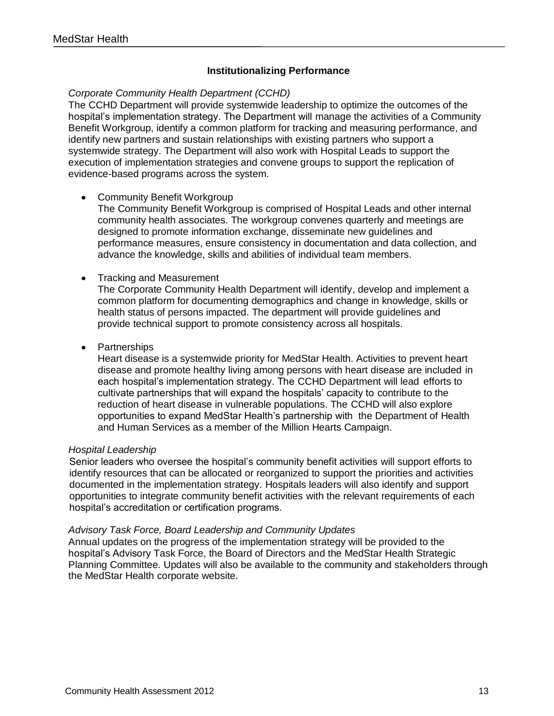#### **Institutionalizing Performance**

#### <span id="page-12-0"></span>*Corporate Community Health Department (CCHD)*

The CCHD Department will provide systemwide leadership to optimize the outcomes of the hospital's implementation strategy. The Department will manage the activities of a Community Benefit Workgroup, identify a common platform for tracking and measuring performance, and identify new partners and sustain relationships with existing partners who support a systemwide strategy. The Department will also work with Hospital Leads to support the execution of implementation strategies and convene groups to support the replication of evidence-based programs across the system.

#### • Community Benefit Workgroup

The Community Benefit Workgroup is comprised of Hospital Leads and other internal community health associates. The workgroup convenes quarterly and meetings are designed to promote information exchange, disseminate new guidelines and performance measures, ensure consistency in documentation and data collection, and advance the knowledge, skills and abilities of individual team members.

#### Tracking and Measurement  $\bullet$

The Corporate Community Health Department will identify, develop and implement a common platform for documenting demographics and change in knowledge, skills or health status of persons impacted. The department will provide guidelines and provide technical support to promote consistency across all hospitals.

• Partnerships

Heart disease is a systemwide priority for MedStar Health. Activities to prevent heart disease and promote healthy living among persons with heart disease are included in each hospital's implementation strategy. The CCHD Department will lead efforts to cultivate partnerships that will expand the hospitals' capacity to contribute to the reduction of heart disease in vulnerable populations. The CCHD will also explore opportunities to expand MedStar Health's partnership with the Department of Health and Human Services as a member of the Million Hearts Campaign.

#### *Hospital Leadership*

Senior leaders who oversee the hospital's community benefit activities will support efforts to identify resources that can be allocated or reorganized to support the priorities and activities documented in the implementation strategy. Hospitals leaders will also identify and support opportunities to integrate community benefit activities with the relevant requirements of each hospital's accreditation or certification programs.

#### *Advisory Task Force, Board Leadership and Community Updates*

Annual updates on the progress of the implementation strategy will be provided to the hospital's Advisory Task Force, the Board of Directors and the MedStar Health Strategic Planning Committee. Updates will also be available to the community and stakeholders through the MedStar Health corporate website.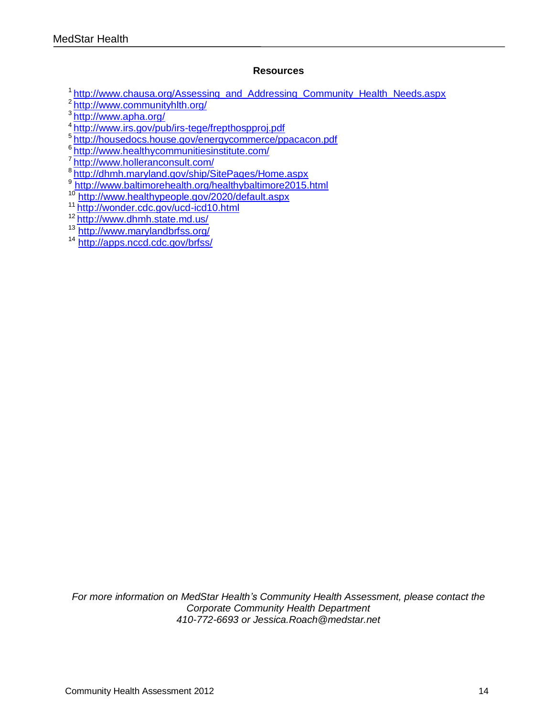#### **Resources**

<sup>1</sup> [http://www.chausa.org/Assessing\\_and\\_Addressing\\_Community\\_Health\\_Needs.aspx](http://www.chausa.org/Assessing_and_Addressing_Community_Health_Needs.aspx)

<sup>2</sup><http://www.communityhlth.org/>

<sup>3</sup><http://www.apha.org/>

<sup>4</sup><http://www.irs.gov/pub/irs-tege/frepthospproj.pdf>

<sup>5</sup><http://housedocs.house.gov/energycommerce/ppacacon.pdf>

6 <http://www.healthycommunitiesinstitute.com/>

7 <http://www.holleranconsult.com/>

8<http://dhmh.maryland.gov/ship/SitePages/Home.aspx>

9 <http://www.baltimorehealth.org/healthybaltimore2015.html>

<sup>10</sup> <http://www.healthypeople.gov/2020/default.aspx>

<sup>11</sup><http://wonder.cdc.gov/ucd-icd10.html>

<sup>12</sup><http://www.dhmh.state.md.us/>

<sup>13</sup> <http://www.marylandbrfss.org/>

<sup>14</sup> <http://apps.nccd.cdc.gov/brfss/>

*For more information on MedStar Health's Community Health Assessment, please contact the Corporate Community Health Department 410-772-6693 or Jessica.Roach@medstar.net*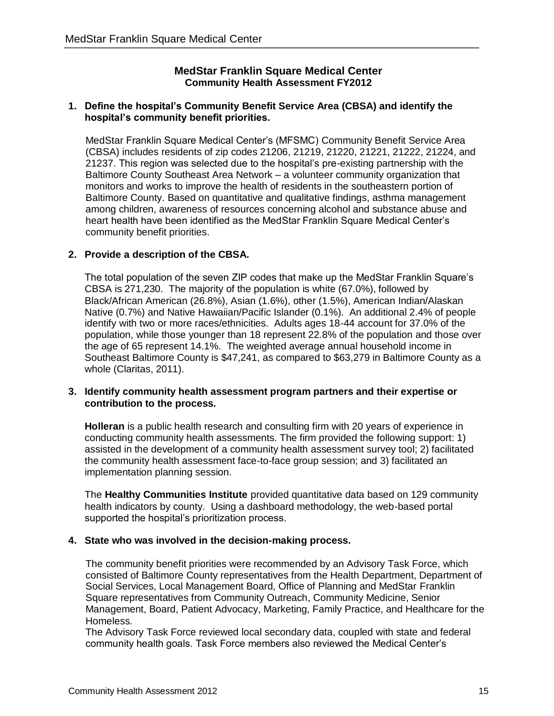#### **MedStar Franklin Square Medical Center Community Health Assessment FY2012**

#### <span id="page-14-1"></span><span id="page-14-0"></span>**1. Define the hospital's Community Benefit Service Area (CBSA) and identify the hospital's community benefit priorities.**

MedStar Franklin Square Medical Center's (MFSMC) Community Benefit Service Area (CBSA) includes residents of zip codes 21206, 21219, 21220, 21221, 21222, 21224, and 21237. This region was selected due to the hospital's pre-existing partnership with the Baltimore County Southeast Area Network – a volunteer community organization that monitors and works to improve the health of residents in the southeastern portion of Baltimore County. Based on quantitative and qualitative findings, asthma management among children, awareness of resources concerning alcohol and substance abuse and heart health have been identified as the MedStar Franklin Square Medical Center's community benefit priorities.

#### **2. Provide a description of the CBSA.**

The total population of the seven ZIP codes that make up the MedStar Franklin Square's CBSA is 271,230. The majority of the population is white (67.0%), followed by Black/African American (26.8%), Asian (1.6%), other (1.5%), American Indian/Alaskan Native (0.7%) and Native Hawaiian/Pacific Islander (0.1%). An additional 2.4% of people identify with two or more races/ethnicities. Adults ages 18-44 account for 37.0% of the population, while those younger than 18 represent 22.8% of the population and those over the age of 65 represent 14.1%. The weighted average annual household income in Southeast Baltimore County is \$47,241, as compared to \$63,279 in Baltimore County as a whole (Claritas, 2011).

#### **3. Identify community health assessment program partners and their expertise or contribution to the process.**

**Holleran** is a public health research and consulting firm with 20 years of experience in conducting community health assessments. The firm provided the following support: 1) assisted in the development of a community health assessment survey tool; 2) facilitated the community health assessment face-to-face group session; and 3) facilitated an implementation planning session.

The **Healthy Communities Institute** provided quantitative data based on 129 community health indicators by county. Using a dashboard methodology, the web-based portal supported the hospital's prioritization process.

#### **4. State who was involved in the decision-making process.**

The community benefit priorities were recommended by an Advisory Task Force, which consisted of Baltimore County representatives from the Health Department, Department of Social Services, Local Management Board, Office of Planning and MedStar Franklin Square representatives from Community Outreach, Community Medicine, Senior Management, Board, Patient Advocacy, Marketing, Family Practice, and Healthcare for the Homeless.

The Advisory Task Force reviewed local secondary data, coupled with state and federal community health goals. Task Force members also reviewed the Medical Center's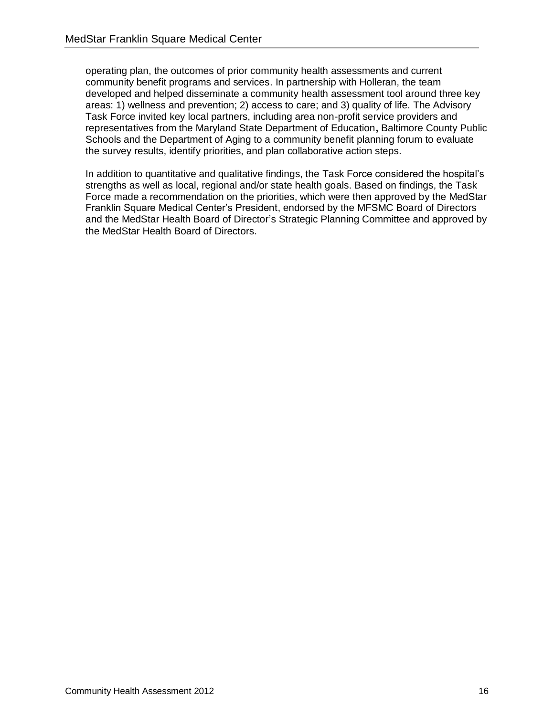operating plan, the outcomes of prior community health assessments and current community benefit programs and services. In partnership with Holleran, the team developed and helped disseminate a community health assessment tool around three key areas: 1) wellness and prevention; 2) access to care; and 3) quality of life. The Advisory Task Force invited key local partners, including area non-profit service providers and representatives from the Maryland State Department of Education**,** Baltimore County Public Schools and the Department of Aging to a community benefit planning forum to evaluate the survey results, identify priorities, and plan collaborative action steps.

In addition to quantitative and qualitative findings, the Task Force considered the hospital's strengths as well as local, regional and/or state health goals. Based on findings, the Task Force made a recommendation on the priorities, which were then approved by the MedStar Franklin Square Medical Center's President, endorsed by the MFSMC Board of Directors and the MedStar Health Board of Director's Strategic Planning Committee and approved by the MedStar Health Board of Directors.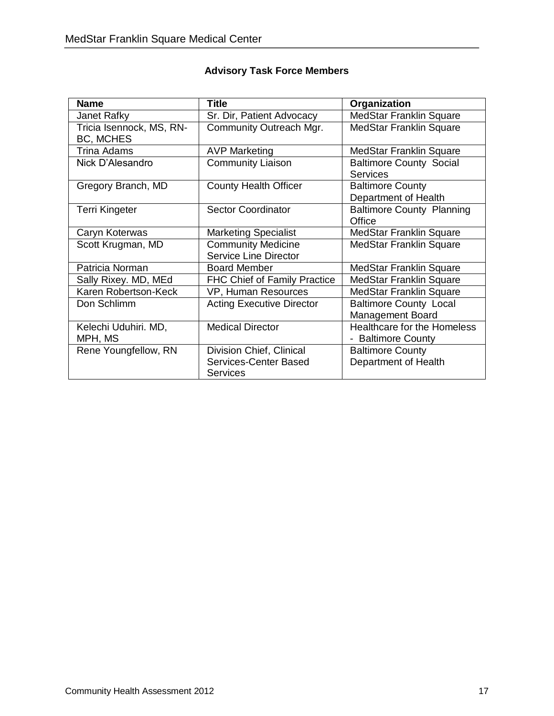| <b>Name</b>              | <b>Title</b>                        | Organization                       |
|--------------------------|-------------------------------------|------------------------------------|
| Janet Rafky              | Sr. Dir, Patient Advocacy           | <b>MedStar Franklin Square</b>     |
| Tricia Isennock, MS, RN- | Community Outreach Mgr.             | <b>MedStar Franklin Square</b>     |
| <b>BC, MCHES</b>         |                                     |                                    |
| Trina Adams              | <b>AVP Marketing</b>                | <b>MedStar Franklin Square</b>     |
| Nick D'Alesandro         | <b>Community Liaison</b>            | <b>Baltimore County Social</b>     |
|                          |                                     | <b>Services</b>                    |
| Gregory Branch, MD       | <b>County Health Officer</b>        | <b>Baltimore County</b>            |
|                          |                                     | Department of Health               |
| <b>Terri Kingeter</b>    | <b>Sector Coordinator</b>           | <b>Baltimore County Planning</b>   |
|                          |                                     | Office                             |
| Caryn Koterwas           | <b>Marketing Specialist</b>         | MedStar Franklin Square            |
| Scott Krugman, MD        | <b>Community Medicine</b>           | MedStar Franklin Square            |
|                          | <b>Service Line Director</b>        |                                    |
| Patricia Norman          | <b>Board Member</b>                 | MedStar Franklin Square            |
| Sally Rixey. MD, MEd     | <b>FHC Chief of Family Practice</b> | <b>MedStar Franklin Square</b>     |
| Karen Robertson-Keck     | VP, Human Resources                 | <b>MedStar Franklin Square</b>     |
| Don Schlimm              | <b>Acting Executive Director</b>    | <b>Baltimore County Local</b>      |
|                          |                                     | <b>Management Board</b>            |
| Kelechi Uduhiri. MD,     | <b>Medical Director</b>             | <b>Healthcare for the Homeless</b> |
| MPH, MS                  |                                     | - Baltimore County                 |
| Rene Youngfellow, RN     | Division Chief, Clinical            | <b>Baltimore County</b>            |
|                          | Services-Center Based               | Department of Health               |
|                          | Services                            |                                    |

#### **Advisory Task Force Members**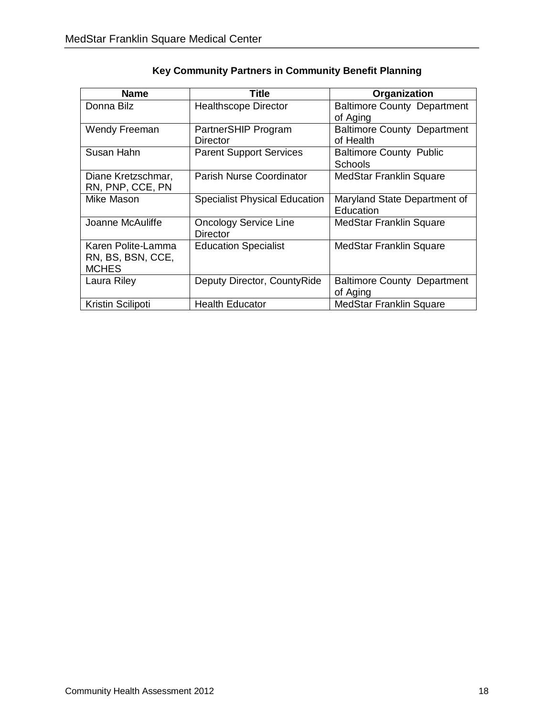| <b>Name</b>                                             | Title                                           | Organization                                     |
|---------------------------------------------------------|-------------------------------------------------|--------------------------------------------------|
| Donna Bilz                                              | <b>Healthscope Director</b>                     | <b>Baltimore County Department</b><br>of Aging   |
| Wendy Freeman                                           | PartnerSHIP Program<br>Director                 | <b>Baltimore County Department</b><br>of Health  |
| Susan Hahn                                              | <b>Parent Support Services</b>                  | <b>Baltimore County Public</b><br><b>Schools</b> |
| Diane Kretzschmar,<br>RN, PNP, CCE, PN                  | <b>Parish Nurse Coordinator</b>                 | <b>MedStar Franklin Square</b>                   |
| Mike Mason                                              | <b>Specialist Physical Education</b>            | Maryland State Department of<br>Education        |
| Joanne McAuliffe                                        | <b>Oncology Service Line</b><br><b>Director</b> | <b>MedStar Franklin Square</b>                   |
| Karen Polite-Lamma<br>RN, BS, BSN, CCE,<br><b>MCHES</b> | <b>Education Specialist</b>                     | <b>MedStar Franklin Square</b>                   |
| Laura Riley                                             | Deputy Director, CountyRide                     | <b>Baltimore County Department</b><br>of Aging   |
| Kristin Scilipoti                                       | <b>Health Educator</b>                          | <b>MedStar Franklin Square</b>                   |

### **Key Community Partners in Community Benefit Planning**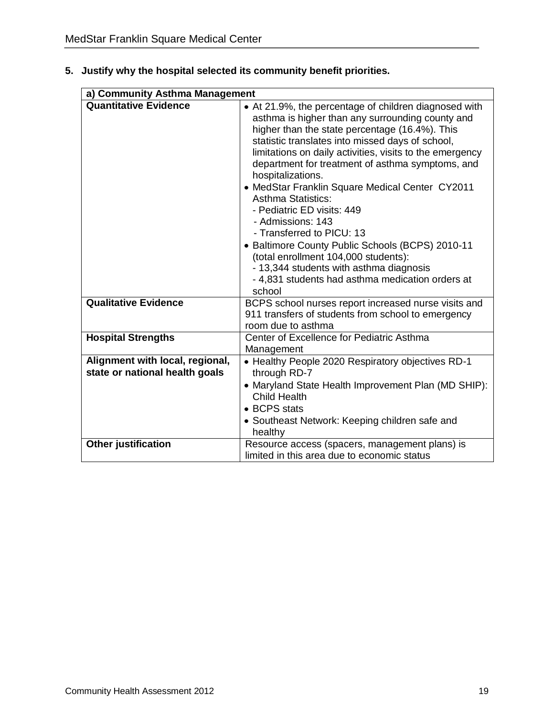|                                                                   | a) Community Asthma Management                                                                                                                                                                                                                                                                                                                                                                                                                                                                                                                                                                                                                                                                                            |  |  |  |  |
|-------------------------------------------------------------------|---------------------------------------------------------------------------------------------------------------------------------------------------------------------------------------------------------------------------------------------------------------------------------------------------------------------------------------------------------------------------------------------------------------------------------------------------------------------------------------------------------------------------------------------------------------------------------------------------------------------------------------------------------------------------------------------------------------------------|--|--|--|--|
| <b>Quantitative Evidence</b>                                      | • At 21.9%, the percentage of children diagnosed with<br>asthma is higher than any surrounding county and<br>higher than the state percentage (16.4%). This<br>statistic translates into missed days of school,<br>limitations on daily activities, visits to the emergency<br>department for treatment of asthma symptoms, and<br>hospitalizations.<br>• MedStar Franklin Square Medical Center CY2011<br><b>Asthma Statistics:</b><br>- Pediatric ED visits: 449<br>- Admissions: 143<br>- Transferred to PICU: 13<br>• Baltimore County Public Schools (BCPS) 2010-11<br>(total enrollment 104,000 students):<br>- 13,344 students with asthma diagnosis<br>- 4,831 students had asthma medication orders at<br>school |  |  |  |  |
| <b>Qualitative Evidence</b>                                       | BCPS school nurses report increased nurse visits and<br>911 transfers of students from school to emergency<br>room due to asthma                                                                                                                                                                                                                                                                                                                                                                                                                                                                                                                                                                                          |  |  |  |  |
| <b>Hospital Strengths</b>                                         | Center of Excellence for Pediatric Asthma<br>Management                                                                                                                                                                                                                                                                                                                                                                                                                                                                                                                                                                                                                                                                   |  |  |  |  |
| Alignment with local, regional,<br>state or national health goals | • Healthy People 2020 Respiratory objectives RD-1<br>through RD-7<br>• Maryland State Health Improvement Plan (MD SHIP):<br><b>Child Health</b><br>• BCPS stats<br>• Southeast Network: Keeping children safe and<br>healthy                                                                                                                                                                                                                                                                                                                                                                                                                                                                                              |  |  |  |  |
| <b>Other justification</b>                                        | Resource access (spacers, management plans) is<br>limited in this area due to economic status                                                                                                                                                                                                                                                                                                                                                                                                                                                                                                                                                                                                                             |  |  |  |  |

**5. Justify why the hospital selected its community benefit priorities.**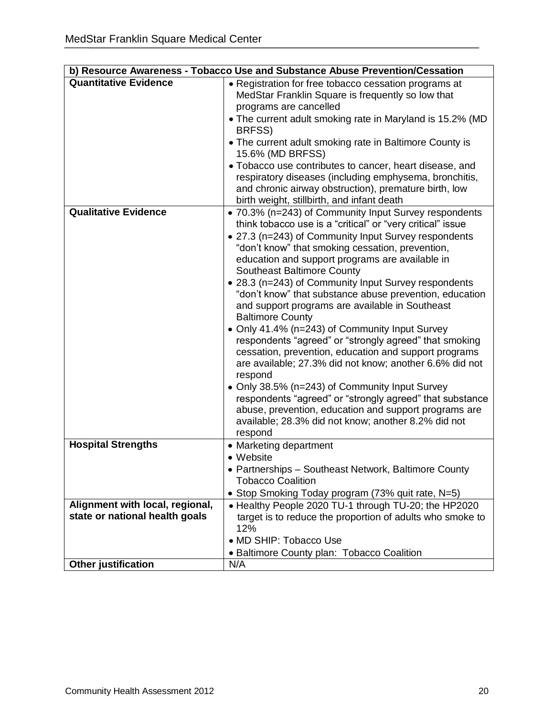|                                 | b) Resource Awareness - Tobacco Use and Substance Abuse Prevention/Cessation                                                                                                                                                                                                                                                                                                                                                                                                                                                                                                                                                                                                                                                                                                                                                                                                                                                                                                                                 |
|---------------------------------|--------------------------------------------------------------------------------------------------------------------------------------------------------------------------------------------------------------------------------------------------------------------------------------------------------------------------------------------------------------------------------------------------------------------------------------------------------------------------------------------------------------------------------------------------------------------------------------------------------------------------------------------------------------------------------------------------------------------------------------------------------------------------------------------------------------------------------------------------------------------------------------------------------------------------------------------------------------------------------------------------------------|
| <b>Quantitative Evidence</b>    | • Registration for free tobacco cessation programs at<br>MedStar Franklin Square is frequently so low that<br>programs are cancelled<br>• The current adult smoking rate in Maryland is 15.2% (MD<br>BRFSS)<br>• The current adult smoking rate in Baltimore County is<br>15.6% (MD BRFSS)<br>• Tobacco use contributes to cancer, heart disease, and<br>respiratory diseases (including emphysema, bronchitis,<br>and chronic airway obstruction), premature birth, low<br>birth weight, stillbirth, and infant death                                                                                                                                                                                                                                                                                                                                                                                                                                                                                       |
| <b>Qualitative Evidence</b>     | • 70.3% (n=243) of Community Input Survey respondents<br>think tobacco use is a "critical" or "very critical" issue<br>• 27.3 (n=243) of Community Input Survey respondents<br>"don't know" that smoking cessation, prevention,<br>education and support programs are available in<br><b>Southeast Baltimore County</b><br>• 28.3 (n=243) of Community Input Survey respondents<br>"don't know" that substance abuse prevention, education<br>and support programs are available in Southeast<br><b>Baltimore County</b><br>• Only 41.4% (n=243) of Community Input Survey<br>respondents "agreed" or "strongly agreed" that smoking<br>cessation, prevention, education and support programs<br>are available; 27.3% did not know; another 6.6% did not<br>respond<br>• Only 38.5% (n=243) of Community Input Survey<br>respondents "agreed" or "strongly agreed" that substance<br>abuse, prevention, education and support programs are<br>available; 28.3% did not know; another 8.2% did not<br>respond |
| <b>Hospital Strengths</b>       | • Marketing department<br>• Website<br>• Partnerships - Southeast Network, Baltimore County<br><b>Tobacco Coalition</b>                                                                                                                                                                                                                                                                                                                                                                                                                                                                                                                                                                                                                                                                                                                                                                                                                                                                                      |
|                                 | • Stop Smoking Today program (73% quit rate, N=5)                                                                                                                                                                                                                                                                                                                                                                                                                                                                                                                                                                                                                                                                                                                                                                                                                                                                                                                                                            |
| Alignment with local, regional, | • Healthy People 2020 TU-1 through TU-20; the HP2020                                                                                                                                                                                                                                                                                                                                                                                                                                                                                                                                                                                                                                                                                                                                                                                                                                                                                                                                                         |
| state or national health goals  | target is to reduce the proportion of adults who smoke to<br>12%                                                                                                                                                                                                                                                                                                                                                                                                                                                                                                                                                                                                                                                                                                                                                                                                                                                                                                                                             |
|                                 | • MD SHIP: Tobacco Use                                                                                                                                                                                                                                                                                                                                                                                                                                                                                                                                                                                                                                                                                                                                                                                                                                                                                                                                                                                       |
|                                 | • Baltimore County plan: Tobacco Coalition                                                                                                                                                                                                                                                                                                                                                                                                                                                                                                                                                                                                                                                                                                                                                                                                                                                                                                                                                                   |
| <b>Other justification</b>      | N/A                                                                                                                                                                                                                                                                                                                                                                                                                                                                                                                                                                                                                                                                                                                                                                                                                                                                                                                                                                                                          |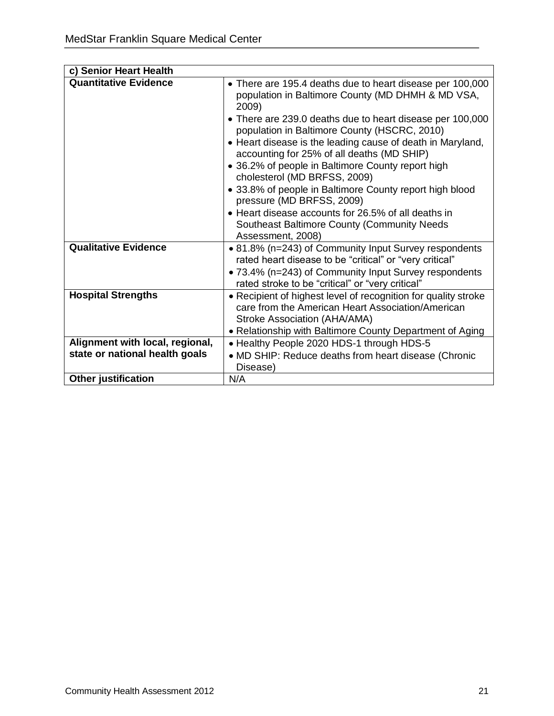| c) Senior Heart Health          |                                                                                                                                                                                                                                                                                                                                                                                                                                                                                                                                                                                                                                                                 |
|---------------------------------|-----------------------------------------------------------------------------------------------------------------------------------------------------------------------------------------------------------------------------------------------------------------------------------------------------------------------------------------------------------------------------------------------------------------------------------------------------------------------------------------------------------------------------------------------------------------------------------------------------------------------------------------------------------------|
| <b>Quantitative Evidence</b>    | • There are 195.4 deaths due to heart disease per 100,000<br>population in Baltimore County (MD DHMH & MD VSA,<br>2009)<br>• There are 239.0 deaths due to heart disease per 100,000<br>population in Baltimore County (HSCRC, 2010)<br>• Heart disease is the leading cause of death in Maryland,<br>accounting for 25% of all deaths (MD SHIP)<br>• 36.2% of people in Baltimore County report high<br>cholesterol (MD BRFSS, 2009)<br>• 33.8% of people in Baltimore County report high blood<br>pressure (MD BRFSS, 2009)<br>• Heart disease accounts for 26.5% of all deaths in<br><b>Southeast Baltimore County (Community Needs</b><br>Assessment, 2008) |
| <b>Qualitative Evidence</b>     | • 81.8% (n=243) of Community Input Survey respondents<br>rated heart disease to be "critical" or "very critical"<br>• 73.4% (n=243) of Community Input Survey respondents<br>rated stroke to be "critical" or "very critical"                                                                                                                                                                                                                                                                                                                                                                                                                                   |
| <b>Hospital Strengths</b>       | • Recipient of highest level of recognition for quality stroke<br>care from the American Heart Association/American<br>Stroke Association (AHA/AMA)<br>• Relationship with Baltimore County Department of Aging                                                                                                                                                                                                                                                                                                                                                                                                                                                 |
| Alignment with local, regional, | • Healthy People 2020 HDS-1 through HDS-5                                                                                                                                                                                                                                                                                                                                                                                                                                                                                                                                                                                                                       |
| state or national health goals  | • MD SHIP: Reduce deaths from heart disease (Chronic                                                                                                                                                                                                                                                                                                                                                                                                                                                                                                                                                                                                            |
|                                 | Disease)                                                                                                                                                                                                                                                                                                                                                                                                                                                                                                                                                                                                                                                        |
| <b>Other justification</b>      | N/A                                                                                                                                                                                                                                                                                                                                                                                                                                                                                                                                                                                                                                                             |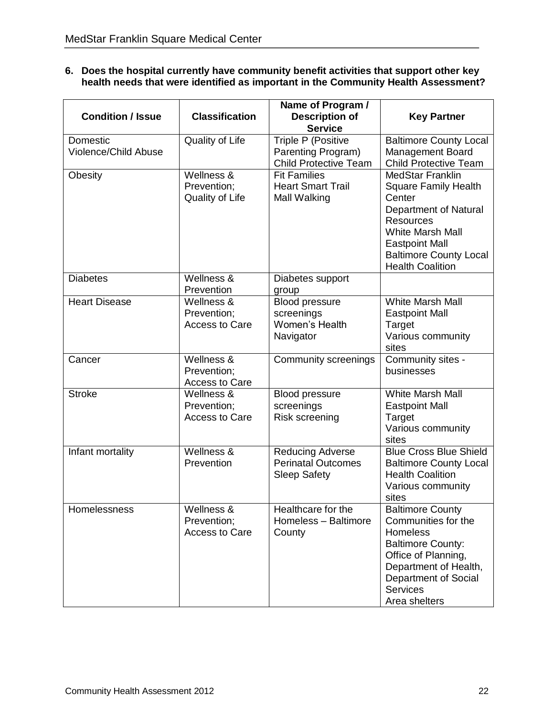#### **6. Does the hospital currently have community benefit activities that support other key health needs that were identified as important in the Community Health Assessment?**

| <b>Condition / Issue</b>         | <b>Classification</b>                              | Name of Program /<br><b>Description of</b><br><b>Service</b>                | <b>Key Partner</b>                                                                                                                                                                                                            |
|----------------------------------|----------------------------------------------------|-----------------------------------------------------------------------------|-------------------------------------------------------------------------------------------------------------------------------------------------------------------------------------------------------------------------------|
| Domestic<br>Violence/Child Abuse | Quality of Life                                    | Triple P (Positive<br>Parenting Program)<br><b>Child Protective Team</b>    | <b>Baltimore County Local</b><br>Management Board<br><b>Child Protective Team</b>                                                                                                                                             |
| Obesity                          | Wellness &<br>Prevention;<br>Quality of Life       | <b>Fit Families</b><br><b>Heart Smart Trail</b><br>Mall Walking             | <b>MedStar Franklin</b><br><b>Square Family Health</b><br>Center<br>Department of Natural<br><b>Resources</b><br><b>White Marsh Mall</b><br><b>Eastpoint Mall</b><br><b>Baltimore County Local</b><br><b>Health Coalition</b> |
| <b>Diabetes</b>                  | Wellness &<br>Prevention                           | Diabetes support<br>group                                                   |                                                                                                                                                                                                                               |
| <b>Heart Disease</b>             | Wellness &<br>Prevention;<br><b>Access to Care</b> | <b>Blood pressure</b><br>screenings<br>Women's Health<br>Navigator          | <b>White Marsh Mall</b><br><b>Eastpoint Mall</b><br>Target<br>Various community<br>sites                                                                                                                                      |
| Cancer                           | Wellness &<br>Prevention;<br><b>Access to Care</b> | <b>Community screenings</b>                                                 | Community sites -<br>businesses                                                                                                                                                                                               |
| <b>Stroke</b>                    | Wellness &<br>Prevention;<br><b>Access to Care</b> | <b>Blood pressure</b><br>screenings<br>Risk screening                       | <b>White Marsh Mall</b><br><b>Eastpoint Mall</b><br>Target<br>Various community<br>sites                                                                                                                                      |
| Infant mortality                 | Wellness &<br>Prevention                           | <b>Reducing Adverse</b><br><b>Perinatal Outcomes</b><br><b>Sleep Safety</b> | <b>Blue Cross Blue Shield</b><br><b>Baltimore County Local</b><br><b>Health Coalition</b><br>Various community<br>sites                                                                                                       |
| Homelessness                     | Wellness &<br>Prevention;<br><b>Access to Care</b> | Healthcare for the<br>Homeless - Baltimore<br>County                        | <b>Baltimore County</b><br>Communities for the<br><b>Homeless</b><br><b>Baltimore County:</b><br>Office of Planning,<br>Department of Health,<br>Department of Social<br><b>Services</b><br>Area shelters                     |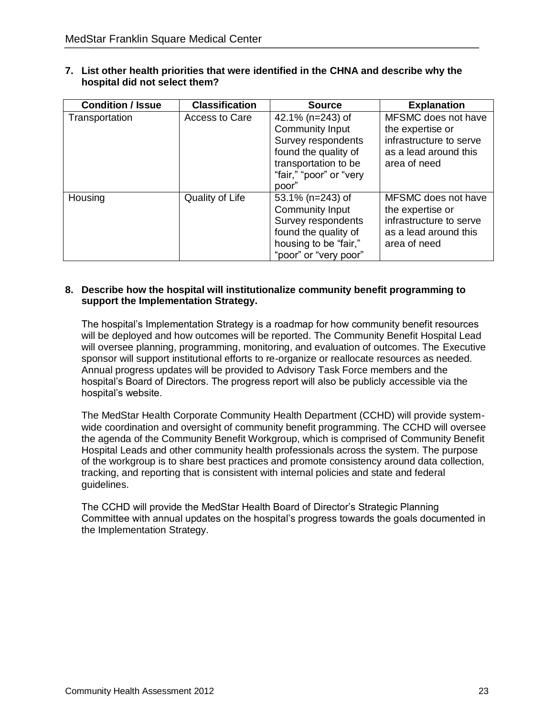| <b>Condition / Issue</b> | <b>Classification</b> | <b>Source</b>           | <b>Explanation</b>      |
|--------------------------|-----------------------|-------------------------|-------------------------|
| Transportation           | Access to Care        | 42.1% (n=243) of        | MFSMC does not have     |
|                          |                       | <b>Community Input</b>  | the expertise or        |
|                          |                       | Survey respondents      | infrastructure to serve |
|                          |                       | found the quality of    | as a lead around this   |
|                          |                       | transportation to be    | area of need            |
|                          |                       | "fair," "poor" or "very |                         |
|                          |                       | poor"                   |                         |
| Housing                  | Quality of Life       | 53.1% (n=243) of        | MFSMC does not have     |
|                          |                       | <b>Community Input</b>  | the expertise or        |
|                          |                       | Survey respondents      | infrastructure to serve |
|                          |                       | found the quality of    | as a lead around this   |
|                          |                       | housing to be "fair,"   | area of need            |
|                          |                       | "poor" or "very poor"   |                         |

**7. List other health priorities that were identified in the CHNA and describe why the hospital did not select them?**

#### **8. Describe how the hospital will institutionalize community benefit programming to support the Implementation Strategy.**

The hospital's Implementation Strategy is a roadmap for how community benefit resources will be deployed and how outcomes will be reported. The Community Benefit Hospital Lead will oversee planning, programming, monitoring, and evaluation of outcomes. The Executive sponsor will support institutional efforts to re-organize or reallocate resources as needed. Annual progress updates will be provided to Advisory Task Force members and the hospital's Board of Directors. The progress report will also be publicly accessible via the hospital's website.

The MedStar Health Corporate Community Health Department (CCHD) will provide systemwide coordination and oversight of community benefit programming. The CCHD will oversee the agenda of the Community Benefit Workgroup, which is comprised of Community Benefit Hospital Leads and other community health professionals across the system. The purpose of the workgroup is to share best practices and promote consistency around data collection, tracking, and reporting that is consistent with internal policies and state and federal guidelines.

The CCHD will provide the MedStar Health Board of Director's Strategic Planning Committee with annual updates on the hospital's progress towards the goals documented in the Implementation Strategy.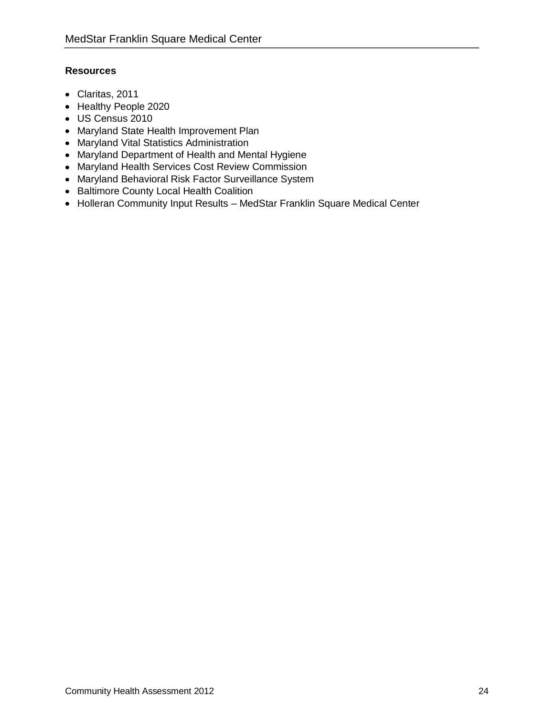#### **Resources**

- Claritas, 2011
- Healthy People 2020
- US Census 2010
- Maryland State Health Improvement Plan
- Maryland Vital Statistics Administration
- Maryland Department of Health and Mental Hygiene
- Maryland Health Services Cost Review Commission
- Maryland Behavioral Risk Factor Surveillance System
- Baltimore County Local Health Coalition
- Holleran Community Input Results MedStar Franklin Square Medical Center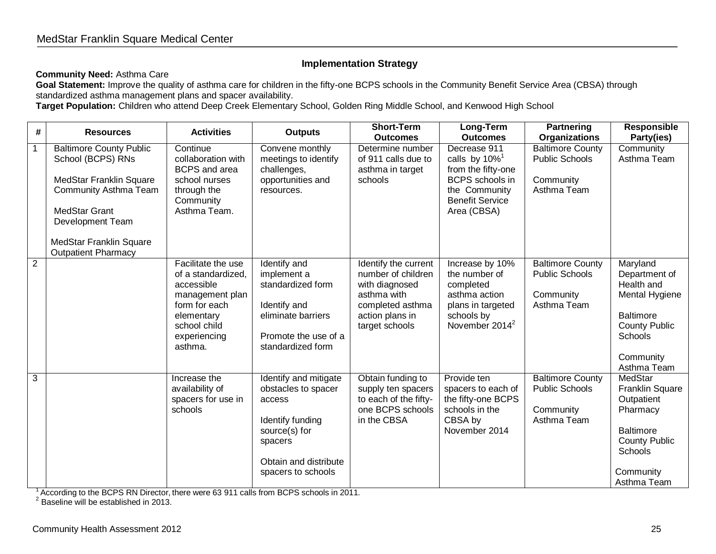#### **Implementation Strategy**

#### **Community Need:** Asthma Care

Goal Statement: Improve the quality of asthma care for children in the fifty-one BCPS schools in the Community Benefit Service Area (CBSA) through standardized asthma management plans and spacer availability.

**Target Population:** Children who attend Deep Creek Elementary School, Golden Ring Middle School, and Kenwood High School

<span id="page-24-0"></span>

| #              | <b>Resources</b>                                                                                                                                                                                                           | <b>Activities</b>                                                                                                                                   | <b>Outputs</b>                                                                                                                                        | <b>Short-Term</b><br><b>Outcomes</b>                                                                                                 | Long-Term<br><b>Outcomes</b>                                                                                                                    | <b>Partnering</b><br><b>Organizations</b>                                    | <b>Responsible</b><br>Party(ies)                                                                                                                    |
|----------------|----------------------------------------------------------------------------------------------------------------------------------------------------------------------------------------------------------------------------|-----------------------------------------------------------------------------------------------------------------------------------------------------|-------------------------------------------------------------------------------------------------------------------------------------------------------|--------------------------------------------------------------------------------------------------------------------------------------|-------------------------------------------------------------------------------------------------------------------------------------------------|------------------------------------------------------------------------------|-----------------------------------------------------------------------------------------------------------------------------------------------------|
| $\mathbf{1}$   | <b>Baltimore County Public</b><br>School (BCPS) RNs<br>MedStar Franklin Square<br><b>Community Asthma Team</b><br><b>MedStar Grant</b><br><b>Development Team</b><br>MedStar Franklin Square<br><b>Outpatient Pharmacy</b> | Continue<br>collaboration with<br><b>BCPS</b> and area<br>school nurses<br>through the<br>Community<br>Asthma Team.                                 | Convene monthly<br>meetings to identify<br>challenges,<br>opportunities and<br>resources.                                                             | Determine number<br>of 911 calls due to<br>asthma in target<br>schools                                                               | Decrease 911<br>calls by $10\%$ <sup>1</sup><br>from the fifty-one<br>BCPS schools in<br>the Community<br><b>Benefit Service</b><br>Area (CBSA) | <b>Baltimore County</b><br><b>Public Schools</b><br>Community<br>Asthma Team | Community<br>Asthma Team                                                                                                                            |
| $\overline{2}$ |                                                                                                                                                                                                                            | Facilitate the use<br>of a standardized,<br>accessible<br>management plan<br>form for each<br>elementary<br>school child<br>experiencing<br>asthma. | Identify and<br>implement a<br>standardized form<br>Identify and<br>eliminate barriers<br>Promote the use of a<br>standardized form                   | Identify the current<br>number of children<br>with diagnosed<br>asthma with<br>completed asthma<br>action plans in<br>target schools | Increase by 10%<br>the number of<br>completed<br>asthma action<br>plans in targeted<br>schools by<br>November $2014^2$                          | <b>Baltimore County</b><br><b>Public Schools</b><br>Community<br>Asthma Team | Maryland<br>Department of<br>Health and<br>Mental Hygiene<br><b>Baltimore</b><br><b>County Public</b><br><b>Schools</b><br>Community<br>Asthma Team |
| $\overline{3}$ |                                                                                                                                                                                                                            | Increase the<br>availability of<br>spacers for use in<br>schools                                                                                    | Identify and mitigate<br>obstacles to spacer<br>access<br>Identify funding<br>source(s) for<br>spacers<br>Obtain and distribute<br>spacers to schools | Obtain funding to<br>supply ten spacers<br>to each of the fifty-<br>one BCPS schools<br>in the CBSA                                  | Provide ten<br>spacers to each of<br>the fifty-one BCPS<br>schools in the<br>CBSA by<br>November 2014                                           | <b>Baltimore County</b><br><b>Public Schools</b><br>Community<br>Asthma Team | MedStar<br><b>Franklin Square</b><br>Outpatient<br>Pharmacy<br><b>Baltimore</b><br><b>County Public</b><br>Schools<br>Community<br>Asthma Team      |

 $1$  According to the BCPS RN Director, there were 63 911 calls from BCPS schools in 2011.

 $2$  Baseline will be established in 2013.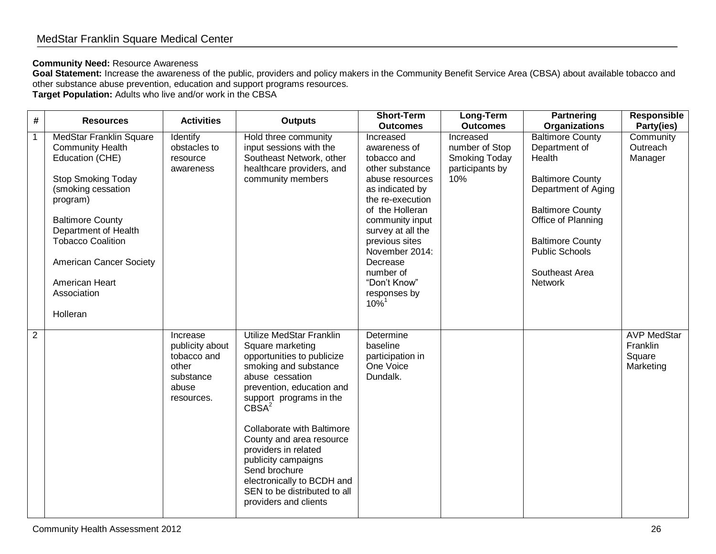#### **Community Need:** Resource Awareness

Goal Statement: Increase the awareness of the public, providers and policy makers in the Community Benefit Service Area (CBSA) about available tobacco and other substance abuse prevention, education and support programs resources.

**Target Population:** Adults who live and/or work in the CBSA

| #              | <b>Resources</b>                                                                                                                                                                                                                                                                                   | <b>Activities</b>                                                                       | <b>Outputs</b>                                                                                                                                                                                                                                                                                                                                                                                                              | <b>Short-Term</b><br><b>Outcomes</b>                                                                                                                                                                                                                                                                 | Long-Term<br><b>Outcomes</b>                                           | <b>Partnering</b><br><b>Organizations</b>                                                                                                                                                                                                     | <b>Responsible</b><br>Party(ies)                      |
|----------------|----------------------------------------------------------------------------------------------------------------------------------------------------------------------------------------------------------------------------------------------------------------------------------------------------|-----------------------------------------------------------------------------------------|-----------------------------------------------------------------------------------------------------------------------------------------------------------------------------------------------------------------------------------------------------------------------------------------------------------------------------------------------------------------------------------------------------------------------------|------------------------------------------------------------------------------------------------------------------------------------------------------------------------------------------------------------------------------------------------------------------------------------------------------|------------------------------------------------------------------------|-----------------------------------------------------------------------------------------------------------------------------------------------------------------------------------------------------------------------------------------------|-------------------------------------------------------|
|                | MedStar Franklin Square<br><b>Community Health</b><br>Education (CHE)<br><b>Stop Smoking Today</b><br>(smoking cessation<br>program)<br><b>Baltimore County</b><br>Department of Health<br><b>Tobacco Coalition</b><br><b>American Cancer Society</b><br>American Heart<br>Association<br>Holleran | Identify<br>obstacles to<br>resource<br>awareness                                       | Hold three community<br>input sessions with the<br>Southeast Network, other<br>healthcare providers, and<br>community members                                                                                                                                                                                                                                                                                               | Increased<br>awareness of<br>tobacco and<br>other substance<br>abuse resources<br>as indicated by<br>the re-execution<br>of the Holleran<br>community input<br>survey at all the<br>previous sites<br>November 2014:<br>Decrease<br>number of<br>"Don't Know"<br>responses by<br>$10\%$ <sup>1</sup> | Increased<br>number of Stop<br>Smoking Today<br>participants by<br>10% | <b>Baltimore County</b><br>Department of<br>Health<br><b>Baltimore County</b><br>Department of Aging<br><b>Baltimore County</b><br>Office of Planning<br><b>Baltimore County</b><br><b>Public Schools</b><br>Southeast Area<br><b>Network</b> | Community<br>Outreach<br>Manager                      |
| $\overline{2}$ |                                                                                                                                                                                                                                                                                                    | Increase<br>publicity about<br>tobacco and<br>other<br>substance<br>abuse<br>resources. | Utilize MedStar Franklin<br>Square marketing<br>opportunities to publicize<br>smoking and substance<br>abuse cessation<br>prevention, education and<br>support programs in the<br>CBSA <sup>2</sup><br><b>Collaborate with Baltimore</b><br>County and area resource<br>providers in related<br>publicity campaigns<br>Send brochure<br>electronically to BCDH and<br>SEN to be distributed to all<br>providers and clients | Determine<br>baseline<br>participation in<br>One Voice<br>Dundalk.                                                                                                                                                                                                                                   |                                                                        |                                                                                                                                                                                                                                               | <b>AVP MedStar</b><br>Franklin<br>Square<br>Marketing |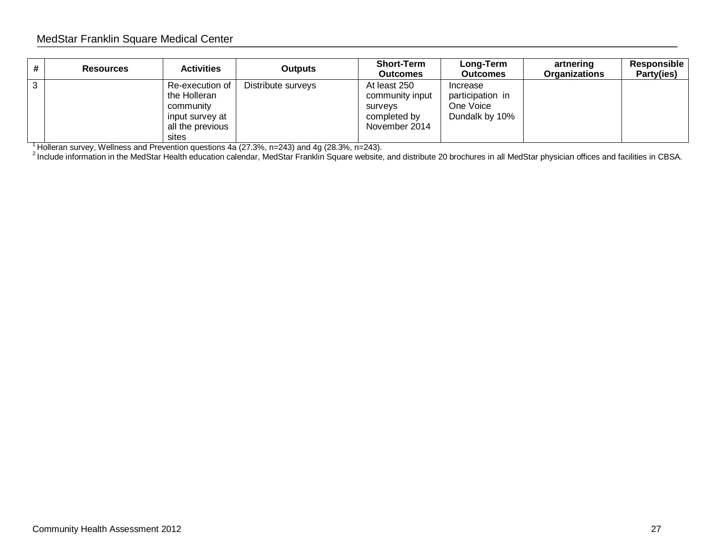#### MedStar Franklin Square Medical Center

| <b>Resources</b> | <b>Activities</b>                                                                            | <b>Outputs</b>     | <b>Short-Term</b><br><b>Outcomes</b>                                        | Long-Term<br><b>Outcomes</b>                                | artnering<br>Organizations | Responsible<br>Party(ies) |
|------------------|----------------------------------------------------------------------------------------------|--------------------|-----------------------------------------------------------------------------|-------------------------------------------------------------|----------------------------|---------------------------|
|                  | Re-execution of<br>the Holleran<br>community<br>input survey at<br>all the previous<br>sites | Distribute surveys | At least 250<br>community input<br>surveys<br>completed by<br>November 2014 | Increase<br>participation in<br>One Voice<br>Dundalk by 10% |                            |                           |

<sup>1</sup> Holleran survey, Wellness and Prevention questions 4a (27.3%, n=243) and 4g (28.3%, n=243).

 $^2$  Include information in the MedStar Health education calendar, MedStar Franklin Square website, and distribute 20 brochures in all MedStar physician offices and facilities in CBSA.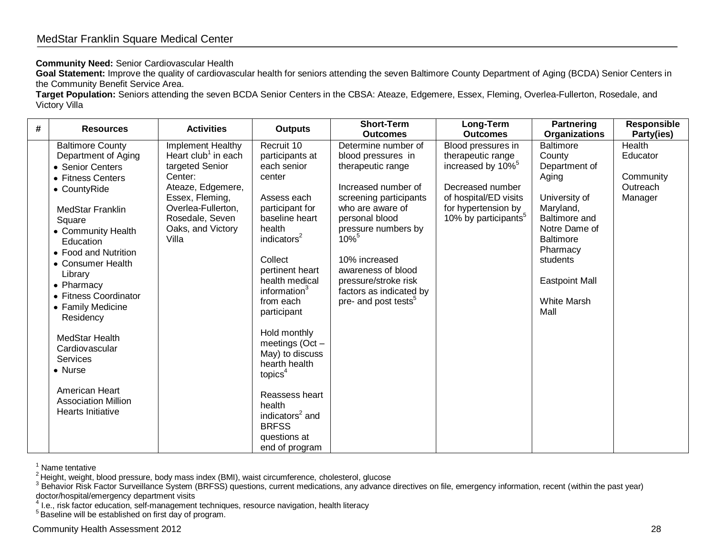#### **Community Need:** Senior Cardiovascular Health

Goal Statement: Improve the quality of cardiovascular health for seniors attending the seven Baltimore County Department of Aging (BCDA) Senior Centers in the Community Benefit Service Area.

**Target Population:** Seniors attending the seven BCDA Senior Centers in the CBSA: Ateaze, Edgemere, Essex, Fleming, Overlea-Fullerton, Rosedale, and Victory Villa

| # | <b>Resources</b>                                                                                                                                                                                                                                                                                                                                                                                                                                 | <b>Activities</b>                                                                                                                                                                                 | <b>Outputs</b>                                                                                                                                                                                                                                                                                                                                                                                                                   | <b>Short-Term</b><br><b>Outcomes</b>                                                                                                                                                                                                                                                                                              | Long-Term<br><b>Outcomes</b>                                                                                                                                                     | <b>Partnering</b><br><b>Organizations</b>                                                                                                                                                                                      | <b>Responsible</b><br>Party(ies)                       |
|---|--------------------------------------------------------------------------------------------------------------------------------------------------------------------------------------------------------------------------------------------------------------------------------------------------------------------------------------------------------------------------------------------------------------------------------------------------|---------------------------------------------------------------------------------------------------------------------------------------------------------------------------------------------------|----------------------------------------------------------------------------------------------------------------------------------------------------------------------------------------------------------------------------------------------------------------------------------------------------------------------------------------------------------------------------------------------------------------------------------|-----------------------------------------------------------------------------------------------------------------------------------------------------------------------------------------------------------------------------------------------------------------------------------------------------------------------------------|----------------------------------------------------------------------------------------------------------------------------------------------------------------------------------|--------------------------------------------------------------------------------------------------------------------------------------------------------------------------------------------------------------------------------|--------------------------------------------------------|
|   | <b>Baltimore County</b><br>Department of Aging<br>• Senior Centers<br>• Fitness Centers<br>• CountyRide<br><b>MedStar Franklin</b><br>Square<br>• Community Health<br>Education<br>• Food and Nutrition<br>• Consumer Health<br>Library<br>• Pharmacy<br>• Fitness Coordinator<br>• Family Medicine<br>Residency<br>MedStar Health<br>Cardiovascular<br>Services<br>• Nurse<br>American Heart<br><b>Association Million</b><br>Hearts Initiative | Implement Healthy<br>Heart club <sup>1</sup> in each<br>targeted Senior<br>Center:<br>Ateaze, Edgemere,<br>Essex, Fleming,<br>Overlea-Fullerton,<br>Rosedale, Seven<br>Oaks, and Victory<br>Villa | Recruit 10<br>participants at<br>each senior<br>center<br>Assess each<br>participant for<br>baseline heart<br>health<br>indicators <sup>2</sup><br>Collect<br>pertinent heart<br>health medical<br>information <sup>3</sup><br>from each<br>participant<br>Hold monthly<br>meetings (Oct -<br>May) to discuss<br>hearth health<br>topics <sup>4</sup><br>Reassess heart<br>health<br>indicators <sup>2</sup> and<br><b>BRFSS</b> | Determine number of<br>blood pressures in<br>therapeutic range<br>Increased number of<br>screening participants<br>who are aware of<br>personal blood<br>pressure numbers by<br>$10\%$ <sup>5</sup><br>10% increased<br>awareness of blood<br>pressure/stroke risk<br>factors as indicated by<br>pre- and post tests <sup>5</sup> | Blood pressures in<br>therapeutic range<br>increased by 10% <sup>5</sup><br>Decreased number<br>of hospital/ED visits<br>for hypertension by<br>10% by participants <sup>5</sup> | <b>Baltimore</b><br>County<br>Department of<br>Aging<br>University of<br>Maryland,<br><b>Baltimore and</b><br>Notre Dame of<br><b>Baltimore</b><br>Pharmacy<br>students<br><b>Eastpoint Mall</b><br><b>White Marsh</b><br>Mall | Health<br>Educator<br>Community<br>Outreach<br>Manager |
|   |                                                                                                                                                                                                                                                                                                                                                                                                                                                  |                                                                                                                                                                                                   | questions at<br>end of program                                                                                                                                                                                                                                                                                                                                                                                                   |                                                                                                                                                                                                                                                                                                                                   |                                                                                                                                                                                  |                                                                                                                                                                                                                                |                                                        |

Name tentative

 $^{2}$ Height, weight, blood pressure, body mass index (BMI), waist circumference, cholesterol, glucose

 $^3$  Behavior Risk Factor Surveillance System (BRFSS) questions, current medications, any advance directives on file, emergency information, recent (within the past year) doctor/hospital/emergency department visits

<sup>4</sup> I.e., risk factor education, self-management techniques, resource navigation, health literacy

<sup>&</sup>lt;sup>5</sup> Baseline will be established on first day of program.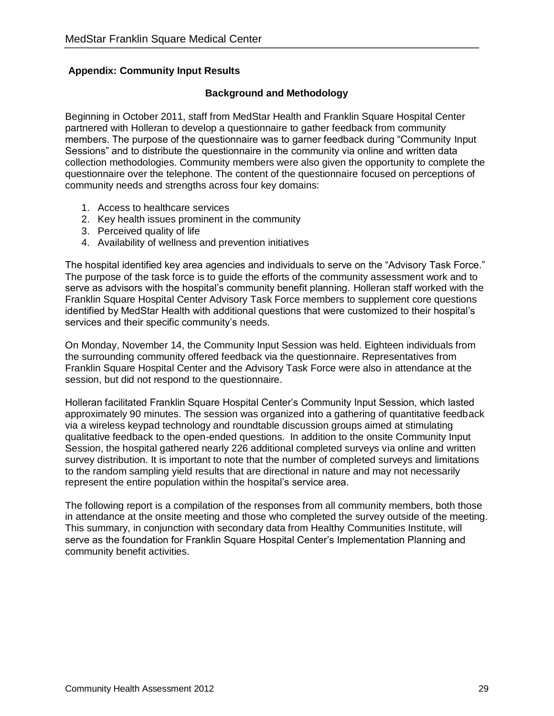#### <span id="page-28-0"></span>**Appendix: Community Input Results**

#### **Background and Methodology**

Beginning in October 2011, staff from MedStar Health and Franklin Square Hospital Center partnered with Holleran to develop a questionnaire to gather feedback from community members. The purpose of the questionnaire was to garner feedback during "Community Input Sessions" and to distribute the questionnaire in the community via online and written data collection methodologies. Community members were also given the opportunity to complete the questionnaire over the telephone. The content of the questionnaire focused on perceptions of community needs and strengths across four key domains:

- 1. Access to healthcare services
- 2. Key health issues prominent in the community
- 3. Perceived quality of life
- 4. Availability of wellness and prevention initiatives

The hospital identified key area agencies and individuals to serve on the "Advisory Task Force." The purpose of the task force is to guide the efforts of the community assessment work and to serve as advisors with the hospital's community benefit planning. Holleran staff worked with the Franklin Square Hospital Center Advisory Task Force members to supplement core questions identified by MedStar Health with additional questions that were customized to their hospital's services and their specific community's needs.

On Monday, November 14, the Community Input Session was held. Eighteen individuals from the surrounding community offered feedback via the questionnaire. Representatives from Franklin Square Hospital Center and the Advisory Task Force were also in attendance at the session, but did not respond to the questionnaire.

Holleran facilitated Franklin Square Hospital Center's Community Input Session, which lasted approximately 90 minutes. The session was organized into a gathering of quantitative feedback via a wireless keypad technology and roundtable discussion groups aimed at stimulating qualitative feedback to the open-ended questions. In addition to the onsite Community Input Session, the hospital gathered nearly 226 additional completed surveys via online and written survey distribution. It is important to note that the number of completed surveys and limitations to the random sampling yield results that are directional in nature and may not necessarily represent the entire population within the hospital's service area.

The following report is a compilation of the responses from all community members, both those in attendance at the onsite meeting and those who completed the survey outside of the meeting. This summary, in conjunction with secondary data from Healthy Communities Institute, will serve as the foundation for Franklin Square Hospital Center's Implementation Planning and community benefit activities.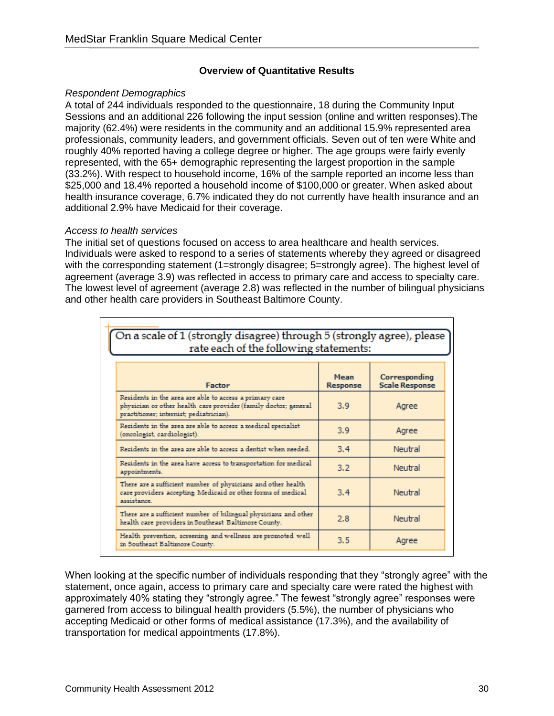#### **Overview of Quantitative Results**

#### *Respondent Demographics*

A total of 244 individuals responded to the questionnaire, 18 during the Community Input Sessions and an additional 226 following the input session (online and written responses).The majority (62.4%) were residents in the community and an additional 15.9% represented area professionals, community leaders, and government officials. Seven out of ten were White and roughly 40% reported having a college degree or higher. The age groups were fairly evenly represented, with the 65+ demographic representing the largest proportion in the sample (33.2%). With respect to household income, 16% of the sample reported an income less than \$25,000 and 18.4% reported a household income of \$100,000 or greater. When asked about health insurance coverage, 6.7% indicated they do not currently have health insurance and an additional 2.9% have Medicaid for their coverage.

#### *Access to health services*

The initial set of questions focused on access to area healthcare and health services. Individuals were asked to respond to a series of statements whereby they agreed or disagreed with the corresponding statement (1=strongly disagree; 5=strongly agree). The highest level of agreement (average 3.9) was reflected in access to primary care and access to specialty care. The lowest level of agreement (average 2.8) was reflected in the number of bilingual physicians and other health care providers in Southeast Baltimore County.

| On a scale of 1 (strongly disagree) through 5 (strongly agree), please<br>rate each of the following statements:                                                      |                         |                                        |  |  |  |  |
|-----------------------------------------------------------------------------------------------------------------------------------------------------------------------|-------------------------|----------------------------------------|--|--|--|--|
| <b>Factor</b>                                                                                                                                                         | Mean<br><b>Response</b> | Corresponding<br><b>Scale Response</b> |  |  |  |  |
| Residents in the area are able to access a primary care<br>physician or other health care provider (family doctor; general<br>practitioner; internist; pediatrician). | 3.9                     | Agree                                  |  |  |  |  |
| Residents in the area are able to access a medical specialist<br>(oncologist, cardiologist).                                                                          | 3.9                     | Agree                                  |  |  |  |  |
| Residents in the area are able to access a dentist when needed.                                                                                                       | 3.4                     | Neutral                                |  |  |  |  |
| Residents in the area have access to transportation for medical<br>appointments.                                                                                      | 3.2                     | Neutral                                |  |  |  |  |
| There are a sufficient number of physicians and other health<br>care providers accepting Medicaid or other forms of medical<br>assistance.                            | 3.4                     | Neutral                                |  |  |  |  |
| There are a sufficient number of bilingual physicians and other<br>health care providers in Southeast Baltimore County.                                               | 2.8                     | Neutral                                |  |  |  |  |
| Health prevention, screening and wellness are promoted well<br>in Southeast Baltimore County.                                                                         | 3.5                     | Agree                                  |  |  |  |  |

When looking at the specific number of individuals responding that they "strongly agree" with the statement, once again, access to primary care and specialty care were rated the highest with approximately 40% stating they "strongly agree." The fewest "strongly agree" responses were garnered from access to bilingual health providers (5.5%), the number of physicians who accepting Medicaid or other forms of medical assistance (17.3%), and the availability of transportation for medical appointments (17.8%).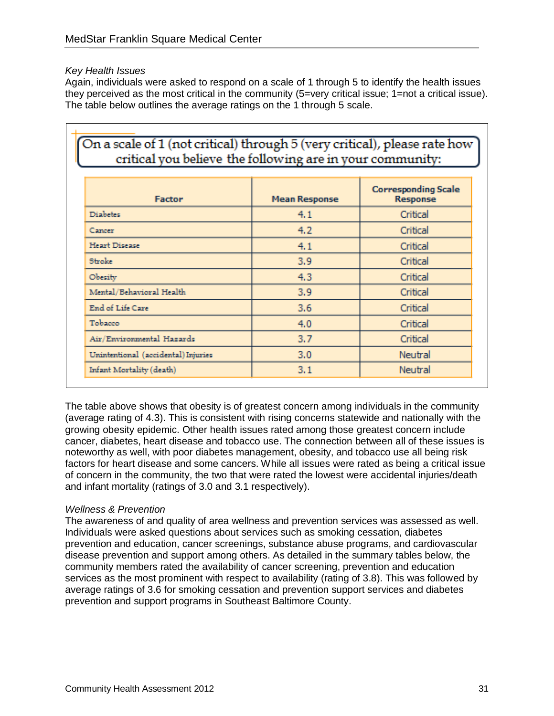#### *Key Health Issues*

Again, individuals were asked to respond on a scale of 1 through 5 to identify the health issues they perceived as the most critical in the community (5=very critical issue; 1=not a critical issue). The table below outlines the average ratings on the 1 through 5 scale.

|                                     |                      | <b>Corresponding Scale</b> |
|-------------------------------------|----------------------|----------------------------|
| Factor                              | <b>Mean Response</b> | Response                   |
| Diabetes                            | 4.1                  | Critical                   |
| Cancer                              | 4.2                  | Critical                   |
| Heart Disease                       | 4.1                  | Critical                   |
| Stroke                              | 3.9                  | Critical                   |
| Obesity                             | 4.3                  | Critical                   |
| Mental/Behavioral Health            | 3.9                  | Critical                   |
| End of Life Care                    | 3.6                  | Critical                   |
| Tobacco                             | 4.0                  | Critical                   |
| Air/Environmental Hazards           | 3.7                  | Critical                   |
| Unintentional (accidental) Injuries | 3.0                  | Neutral                    |
| Infant Mortality (death)            | 3.1                  | Neutral                    |

The table above shows that obesity is of greatest concern among individuals in the community (average rating of 4.3). This is consistent with rising concerns statewide and nationally with the growing obesity epidemic. Other health issues rated among those greatest concern include cancer, diabetes, heart disease and tobacco use. The connection between all of these issues is noteworthy as well, with poor diabetes management, obesity, and tobacco use all being risk factors for heart disease and some cancers. While all issues were rated as being a critical issue of concern in the community, the two that were rated the lowest were accidental injuries/death and infant mortality (ratings of 3.0 and 3.1 respectively).

#### *Wellness & Prevention*

The awareness of and quality of area wellness and prevention services was assessed as well. Individuals were asked questions about services such as smoking cessation, diabetes prevention and education, cancer screenings, substance abuse programs, and cardiovascular disease prevention and support among others. As detailed in the summary tables below, the community members rated the availability of cancer screening, prevention and education services as the most prominent with respect to availability (rating of 3.8). This was followed by average ratings of 3.6 for smoking cessation and prevention support services and diabetes prevention and support programs in Southeast Baltimore County.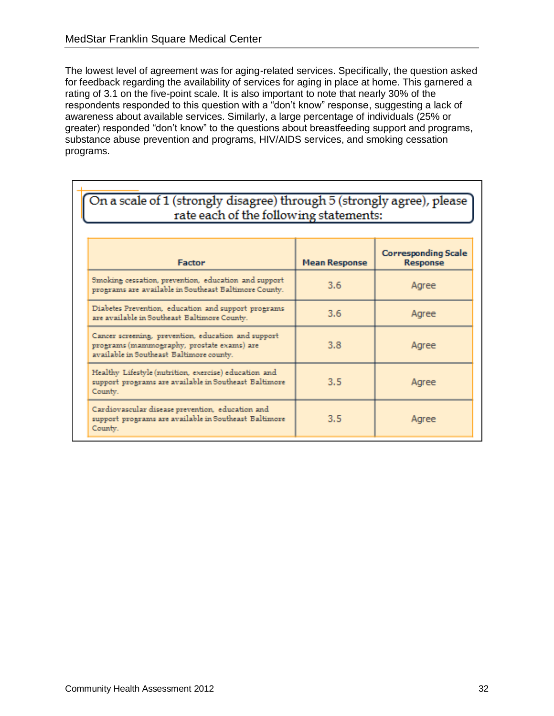The lowest level of agreement was for aging-related services. Specifically, the question asked for feedback regarding the availability of services for aging in place at home. This garnered a rating of 3.1 on the five-point scale. It is also important to note that nearly 30% of the respondents responded to this question with a "don't know" response, suggesting a lack of awareness about available services. Similarly, a large percentage of individuals (25% or greater) responded "don't know" to the questions about breastfeeding support and programs, substance abuse prevention and programs, HIV/AIDS services, and smoking cessation programs.

| On a scale of 1 (strongly disagree) through 5 (strongly agree), please<br>rate each of the following statements:                              |                      |                                        |  |  |  |  |
|-----------------------------------------------------------------------------------------------------------------------------------------------|----------------------|----------------------------------------|--|--|--|--|
| <b>Factor</b>                                                                                                                                 | <b>Mean Response</b> | <b>Corresponding Scale</b><br>Response |  |  |  |  |
| Smoking cessation, prevention, education and support<br>programs are available in Southeast Baltimore County.                                 | $3.6^{\circ}$        | Agree                                  |  |  |  |  |
| Diabetes Prevention, education and support programs<br>are available in Southeast Baltimore County.                                           | 3.6                  | Agree                                  |  |  |  |  |
| Cancer screening, prevention, education and support<br>programs (mammography, prostate exams) are<br>available in Southeast Baltimore county. | 3.8                  | Agree                                  |  |  |  |  |
| Healthy Lifestyle (nutrition, exercise) education and<br>support programs are available in Southeast Baltimore<br>County.                     | 3.5                  | Agree                                  |  |  |  |  |
| Cardiovascular disease prevention, education and<br>support programs are available in Southeast Baltimore<br>County.                          | 3.5                  | Agree                                  |  |  |  |  |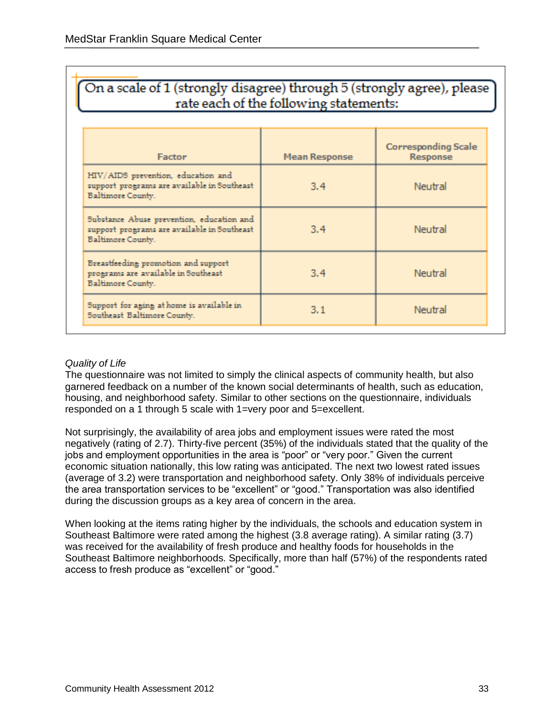| On a scale of 1 (strongly disagree) through 5 (strongly agree), please<br>rate each of the following statements: |                      |                                        |  |  |  |  |  |
|------------------------------------------------------------------------------------------------------------------|----------------------|----------------------------------------|--|--|--|--|--|
| Factor                                                                                                           | <b>Mean Response</b> | <b>Corresponding Scale</b><br>Response |  |  |  |  |  |
| HIV/AIDS prevention, education and<br>support programs are available in Southeast<br>Baltimore County.           | 3.4                  | Neutral                                |  |  |  |  |  |
| Substance Abuse prevention, education and<br>support programs are available in Southeast<br>Baltimore County.    | 3.4                  | Neutral                                |  |  |  |  |  |
| Breastfeeding promotion and support<br>programs are available in Southeast<br>Baltimore County.                  | 3.4                  | Neutral                                |  |  |  |  |  |
| Support for aging at home is available in<br>Southeast Baltimore County.                                         | 3.1                  | Neutral                                |  |  |  |  |  |

#### *Quality of Life*

The questionnaire was not limited to simply the clinical aspects of community health, but also garnered feedback on a number of the known social determinants of health, such as education, housing, and neighborhood safety. Similar to other sections on the questionnaire, individuals responded on a 1 through 5 scale with 1=very poor and 5=excellent.

Not surprisingly, the availability of area jobs and employment issues were rated the most negatively (rating of 2.7). Thirty-five percent (35%) of the individuals stated that the quality of the jobs and employment opportunities in the area is "poor" or "very poor." Given the current economic situation nationally, this low rating was anticipated. The next two lowest rated issues (average of 3.2) were transportation and neighborhood safety. Only 38% of individuals perceive the area transportation services to be "excellent" or "good." Transportation was also identified during the discussion groups as a key area of concern in the area.

When looking at the items rating higher by the individuals, the schools and education system in Southeast Baltimore were rated among the highest (3.8 average rating). A similar rating (3.7) was received for the availability of fresh produce and healthy foods for households in the Southeast Baltimore neighborhoods. Specifically, more than half (57%) of the respondents rated access to fresh produce as "excellent" or "good."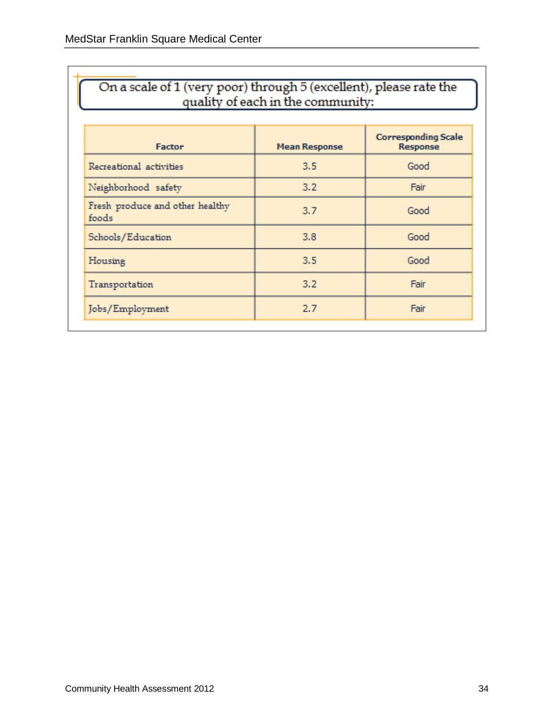| On a scale of 1 (very poor) through 5 (excellent), please rate the<br>quality of each in the community: |                      |                                        |  |  |  |  |  |
|---------------------------------------------------------------------------------------------------------|----------------------|----------------------------------------|--|--|--|--|--|
| <b>Factor</b>                                                                                           | <b>Mean Response</b> | <b>Corresponding Scale</b><br>Response |  |  |  |  |  |
| Recreational activities                                                                                 | 3,5                  | Good                                   |  |  |  |  |  |
| Neighborhood safety                                                                                     | 3.2                  | Fair                                   |  |  |  |  |  |
| Fresh produce and other healthy<br>foods                                                                | 3.7                  | Good                                   |  |  |  |  |  |
| Schools/Education                                                                                       | 3.8                  | Good                                   |  |  |  |  |  |
| Housing                                                                                                 | 3.5                  | Good                                   |  |  |  |  |  |
| Transportation                                                                                          | 3.2                  | Fair                                   |  |  |  |  |  |
| Jobs/Employment                                                                                         | 2.7                  | Fair                                   |  |  |  |  |  |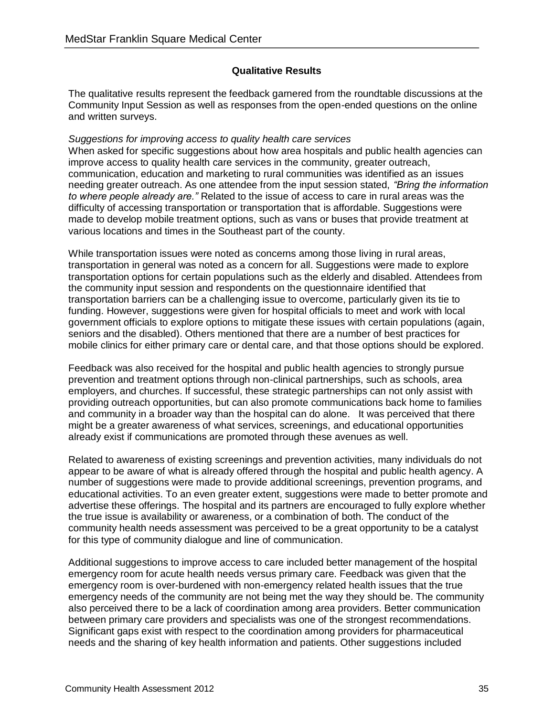#### **Qualitative Results**

The qualitative results represent the feedback garnered from the roundtable discussions at the Community Input Session as well as responses from the open-ended questions on the online and written surveys.

#### *Suggestions for improving access to quality health care services*

When asked for specific suggestions about how area hospitals and public health agencies can improve access to quality health care services in the community, greater outreach, communication, education and marketing to rural communities was identified as an issues needing greater outreach. As one attendee from the input session stated, *"Bring the information to where people already are."* Related to the issue of access to care in rural areas was the difficulty of accessing transportation or transportation that is affordable. Suggestions were made to develop mobile treatment options, such as vans or buses that provide treatment at various locations and times in the Southeast part of the county.

While transportation issues were noted as concerns among those living in rural areas, transportation in general was noted as a concern for all. Suggestions were made to explore transportation options for certain populations such as the elderly and disabled. Attendees from the community input session and respondents on the questionnaire identified that transportation barriers can be a challenging issue to overcome, particularly given its tie to funding. However, suggestions were given for hospital officials to meet and work with local government officials to explore options to mitigate these issues with certain populations (again, seniors and the disabled). Others mentioned that there are a number of best practices for mobile clinics for either primary care or dental care, and that those options should be explored.

Feedback was also received for the hospital and public health agencies to strongly pursue prevention and treatment options through non-clinical partnerships, such as schools, area employers, and churches. If successful, these strategic partnerships can not only assist with providing outreach opportunities, but can also promote communications back home to families and community in a broader way than the hospital can do alone. It was perceived that there might be a greater awareness of what services, screenings, and educational opportunities already exist if communications are promoted through these avenues as well.

Related to awareness of existing screenings and prevention activities, many individuals do not appear to be aware of what is already offered through the hospital and public health agency. A number of suggestions were made to provide additional screenings, prevention programs, and educational activities. To an even greater extent, suggestions were made to better promote and advertise these offerings. The hospital and its partners are encouraged to fully explore whether the true issue is availability or awareness, or a combination of both. The conduct of the community health needs assessment was perceived to be a great opportunity to be a catalyst for this type of community dialogue and line of communication.

Additional suggestions to improve access to care included better management of the hospital emergency room for acute health needs versus primary care. Feedback was given that the emergency room is over-burdened with non-emergency related health issues that the true emergency needs of the community are not being met the way they should be. The community also perceived there to be a lack of coordination among area providers. Better communication between primary care providers and specialists was one of the strongest recommendations. Significant gaps exist with respect to the coordination among providers for pharmaceutical needs and the sharing of key health information and patients. Other suggestions included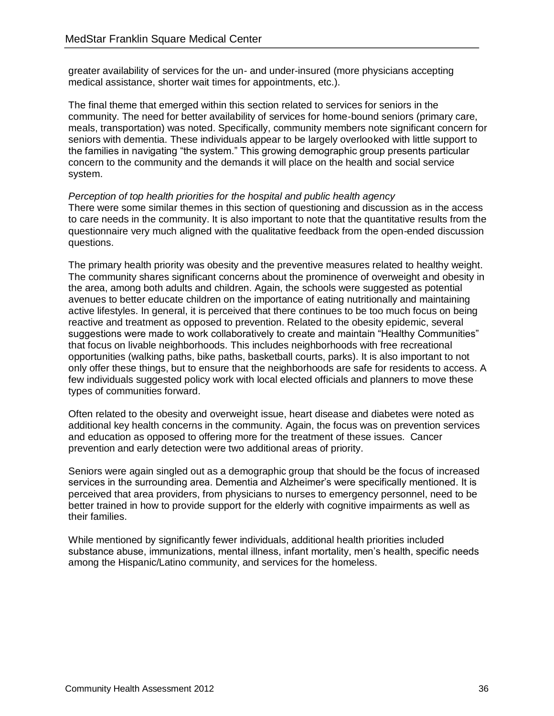greater availability of services for the un- and under-insured (more physicians accepting medical assistance, shorter wait times for appointments, etc.).

The final theme that emerged within this section related to services for seniors in the community. The need for better availability of services for home-bound seniors (primary care, meals, transportation) was noted. Specifically, community members note significant concern for seniors with dementia. These individuals appear to be largely overlooked with little support to the families in navigating "the system." This growing demographic group presents particular concern to the community and the demands it will place on the health and social service system.

*Perception of top health priorities for the hospital and public health agency* There were some similar themes in this section of questioning and discussion as in the access to care needs in the community. It is also important to note that the quantitative results from the questionnaire very much aligned with the qualitative feedback from the open-ended discussion questions.

The primary health priority was obesity and the preventive measures related to healthy weight. The community shares significant concerns about the prominence of overweight and obesity in the area, among both adults and children. Again, the schools were suggested as potential avenues to better educate children on the importance of eating nutritionally and maintaining active lifestyles. In general, it is perceived that there continues to be too much focus on being reactive and treatment as opposed to prevention. Related to the obesity epidemic, several suggestions were made to work collaboratively to create and maintain "Healthy Communities" that focus on livable neighborhoods. This includes neighborhoods with free recreational opportunities (walking paths, bike paths, basketball courts, parks). It is also important to not only offer these things, but to ensure that the neighborhoods are safe for residents to access. A few individuals suggested policy work with local elected officials and planners to move these types of communities forward.

Often related to the obesity and overweight issue, heart disease and diabetes were noted as additional key health concerns in the community. Again, the focus was on prevention services and education as opposed to offering more for the treatment of these issues. Cancer prevention and early detection were two additional areas of priority.

Seniors were again singled out as a demographic group that should be the focus of increased services in the surrounding area. Dementia and Alzheimer's were specifically mentioned. It is perceived that area providers, from physicians to nurses to emergency personnel, need to be better trained in how to provide support for the elderly with cognitive impairments as well as their families.

While mentioned by significantly fewer individuals, additional health priorities included substance abuse, immunizations, mental illness, infant mortality, men's health, specific needs among the Hispanic/Latino community, and services for the homeless.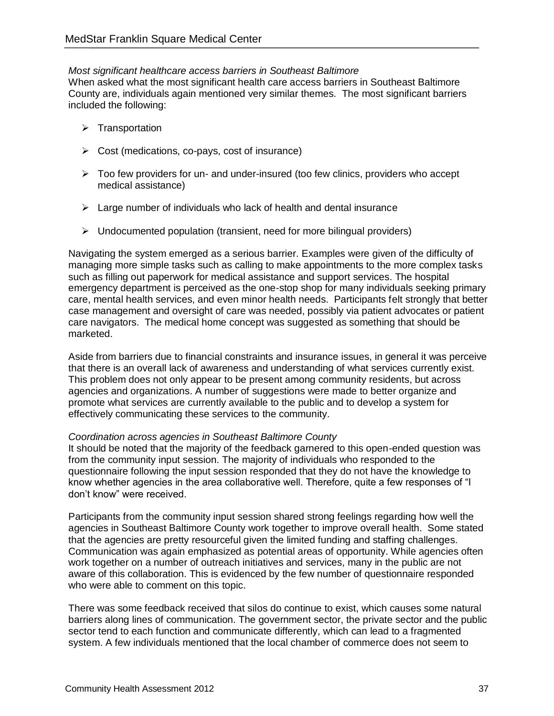#### *Most significant healthcare access barriers in Southeast Baltimore*

When asked what the most significant health care access barriers in Southeast Baltimore County are, individuals again mentioned very similar themes. The most significant barriers included the following:

- $\triangleright$  Transportation
- $\triangleright$  Cost (medications, co-pays, cost of insurance)
- $\triangleright$  Too few providers for un- and under-insured (too few clinics, providers who accept medical assistance)
- $\triangleright$  Large number of individuals who lack of health and dental insurance
- $\triangleright$  Undocumented population (transient, need for more bilingual providers)

Navigating the system emerged as a serious barrier. Examples were given of the difficulty of managing more simple tasks such as calling to make appointments to the more complex tasks such as filling out paperwork for medical assistance and support services. The hospital emergency department is perceived as the one-stop shop for many individuals seeking primary care, mental health services, and even minor health needs. Participants felt strongly that better case management and oversight of care was needed, possibly via patient advocates or patient care navigators. The medical home concept was suggested as something that should be marketed.

Aside from barriers due to financial constraints and insurance issues, in general it was perceive that there is an overall lack of awareness and understanding of what services currently exist. This problem does not only appear to be present among community residents, but across agencies and organizations. A number of suggestions were made to better organize and promote what services are currently available to the public and to develop a system for effectively communicating these services to the community.

#### *Coordination across agencies in Southeast Baltimore County*

It should be noted that the majority of the feedback garnered to this open-ended question was from the community input session. The majority of individuals who responded to the questionnaire following the input session responded that they do not have the knowledge to know whether agencies in the area collaborative well. Therefore, quite a few responses of "I don't know" were received.

Participants from the community input session shared strong feelings regarding how well the agencies in Southeast Baltimore County work together to improve overall health. Some stated that the agencies are pretty resourceful given the limited funding and staffing challenges. Communication was again emphasized as potential areas of opportunity. While agencies often work together on a number of outreach initiatives and services, many in the public are not aware of this collaboration. This is evidenced by the few number of questionnaire responded who were able to comment on this topic.

There was some feedback received that silos do continue to exist, which causes some natural barriers along lines of communication. The government sector, the private sector and the public sector tend to each function and communicate differently, which can lead to a fragmented system. A few individuals mentioned that the local chamber of commerce does not seem to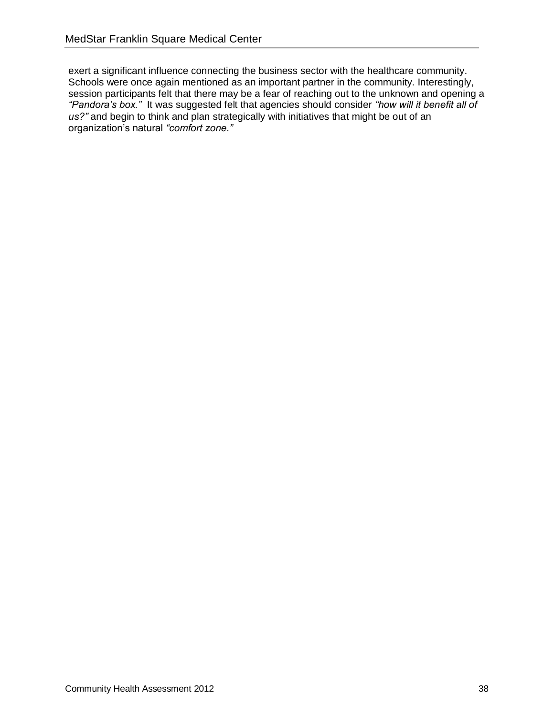exert a significant influence connecting the business sector with the healthcare community. Schools were once again mentioned as an important partner in the community. Interestingly, session participants felt that there may be a fear of reaching out to the unknown and opening a *"Pandora's box."* It was suggested felt that agencies should consider *"how will it benefit all of*  us?" and begin to think and plan strategically with initiatives that might be out of an organization's natural *"comfort zone."*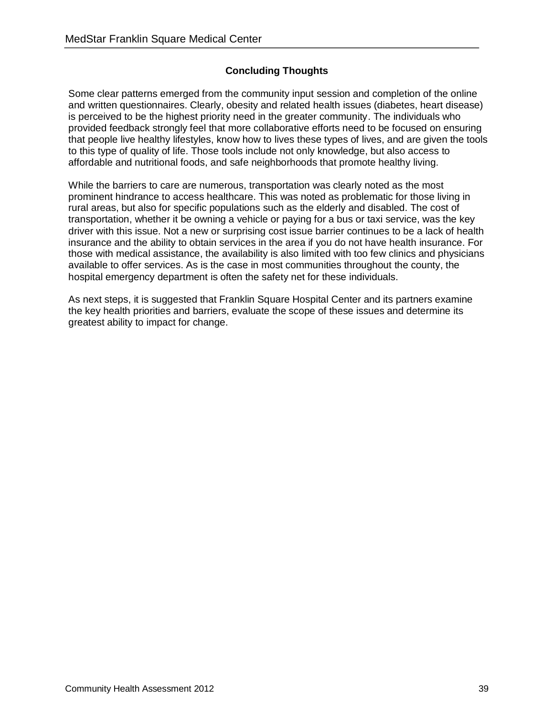#### **Concluding Thoughts**

Some clear patterns emerged from the community input session and completion of the online and written questionnaires. Clearly, obesity and related health issues (diabetes, heart disease) is perceived to be the highest priority need in the greater community. The individuals who provided feedback strongly feel that more collaborative efforts need to be focused on ensuring that people live healthy lifestyles, know how to lives these types of lives, and are given the tools to this type of quality of life. Those tools include not only knowledge, but also access to affordable and nutritional foods, and safe neighborhoods that promote healthy living.

While the barriers to care are numerous, transportation was clearly noted as the most prominent hindrance to access healthcare. This was noted as problematic for those living in rural areas, but also for specific populations such as the elderly and disabled. The cost of transportation, whether it be owning a vehicle or paying for a bus or taxi service, was the key driver with this issue. Not a new or surprising cost issue barrier continues to be a lack of health insurance and the ability to obtain services in the area if you do not have health insurance. For those with medical assistance, the availability is also limited with too few clinics and physicians available to offer services. As is the case in most communities throughout the county, the hospital emergency department is often the safety net for these individuals.

As next steps, it is suggested that Franklin Square Hospital Center and its partners examine the key health priorities and barriers, evaluate the scope of these issues and determine its greatest ability to impact for change.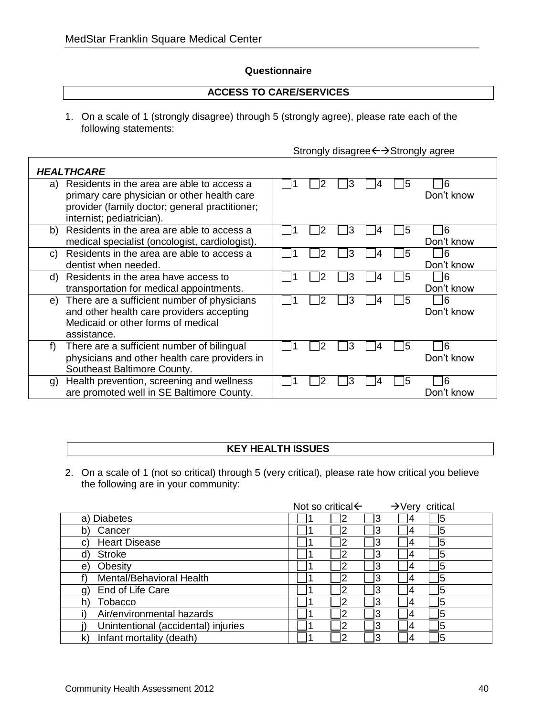#### **Questionnaire**

#### **ACCESS TO CARE/SERVICES**

1. On a scale of 1 (strongly disagree) through 5 (strongly agree), please rate each of the following statements:

|  | Strongly disagree ← → Strongly agree |  |  |
|--|--------------------------------------|--|--|
|--|--------------------------------------|--|--|

|                | <b>HEALTHCARE</b>                                                                                                                                                        |  |    |   |    |                   |
|----------------|--------------------------------------------------------------------------------------------------------------------------------------------------------------------------|--|----|---|----|-------------------|
| a)             | Residents in the area are able to access a<br>primary care physician or other health care<br>provider (family doctor; general practitioner;<br>internist; pediatrician). |  | З  | 4 | 15 | 16<br>Don't know  |
| b)             | Residents in the area are able to access a<br>medical specialist (oncologist, cardiologist).                                                                             |  | 3  |   | 15 | 16<br>Don't know  |
| C)             | Residents in the area are able to access a<br>dentist when needed.                                                                                                       |  | 3  |   | 15 | 6<br>Don't know   |
| d)             | Residents in the area have access to<br>transportation for medical appointments.                                                                                         |  | lЗ | 4 | 15 | 6<br>Don't know   |
| e)             | There are a sufficient number of physicians<br>and other health care providers accepting<br>Medicaid or other forms of medical<br>assistance.                            |  | 3  | 4 | 15 | -16<br>Don't know |
| f              | There are a sufficient number of bilingual<br>physicians and other health care providers in<br>Southeast Baltimore County.                                               |  | 3  |   | 15 | 16<br>Don't know  |
| $\mathfrak{g}$ | Health prevention, screening and wellness<br>are promoted well in SE Baltimore County.                                                                                   |  | 3  |   | 15 | 16<br>Don't know  |

#### **KEY HEALTH ISSUES**

2. On a scale of 1 (not so critical) through 5 (very critical), please rate how critical you believe the following are in your community:

|                                     | Not so critical $\leftarrow$ |    |    | $\rightarrow$ Very critical |   |
|-------------------------------------|------------------------------|----|----|-----------------------------|---|
| a) Diabetes                         |                              |    |    | 14                          | 5 |
| Cancer<br>b)                        |                              |    |    | 14                          | 5 |
| <b>Heart Disease</b><br>C)          |                              | າ  |    | 4                           | 5 |
| <b>Stroke</b><br>d)                 |                              | າ  |    | 4                           | 5 |
| Obesity<br>e)                       |                              |    |    | 14                          | 5 |
| Mental/Behavioral Health            |                              |    |    | 14                          | 5 |
| End of Life Care                    |                              | ႒  |    | 14                          | 5 |
| Tobacco<br>h)                       |                              | 0  | 3  | 14                          | 5 |
| Air/environmental hazards           |                              | 12 | '3 | 14                          | 5 |
| Unintentional (accidental) injuries |                              | າ  | Ι3 | 14                          | 5 |
| Infant mortality (death)<br>k)      |                              | າ  |    |                             | 5 |

٦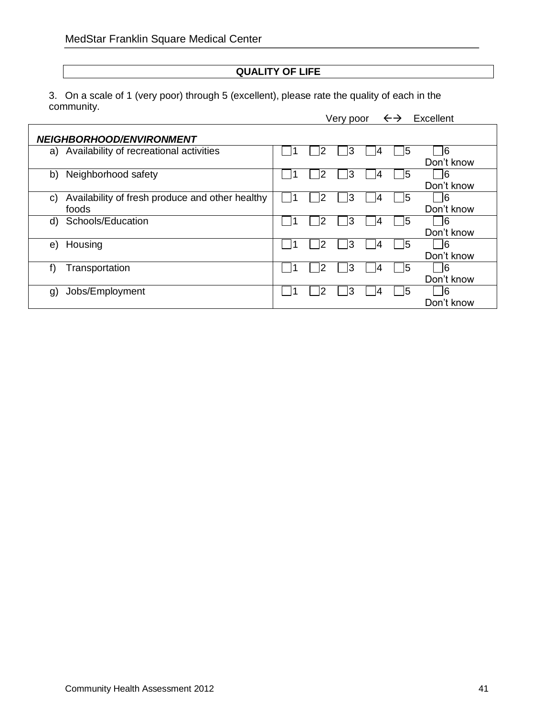#### **QUALITY OF LIFE**

3. On a scale of 1 (very poor) through 5 (excellent), please rate the quality of each in the community.

Very poor  $\leftrightarrow$  Excellent

|                | <b>NEIGHBORHOOD/ENVIRONMENT</b>                          |   |   |   |    |                   |
|----------------|----------------------------------------------------------|---|---|---|----|-------------------|
|                | a) Availability of recreational activities               | 2 | 3 |   | 15 | 16<br>Don't know  |
| b)             | Neighborhood safety                                      | 2 | 3 |   | 15 | 16<br>Don't know  |
| C)             | Availability of fresh produce and other healthy<br>foods | ヮ | 3 | 4 | 5  | 16<br>Don't know  |
| d)             | Schools/Education                                        | 2 | 3 |   | 15 | 6<br>Don't know   |
| e)             | Housing                                                  | 2 | 3 |   | 15 | 16<br>Don't know  |
| t)             | Transportation                                           | 2 | 3 |   | 15 | 16<br>Don't know  |
| $\mathfrak{g}$ | Jobs/Employment                                          | っ | 3 |   | 15 | -16<br>Don't know |